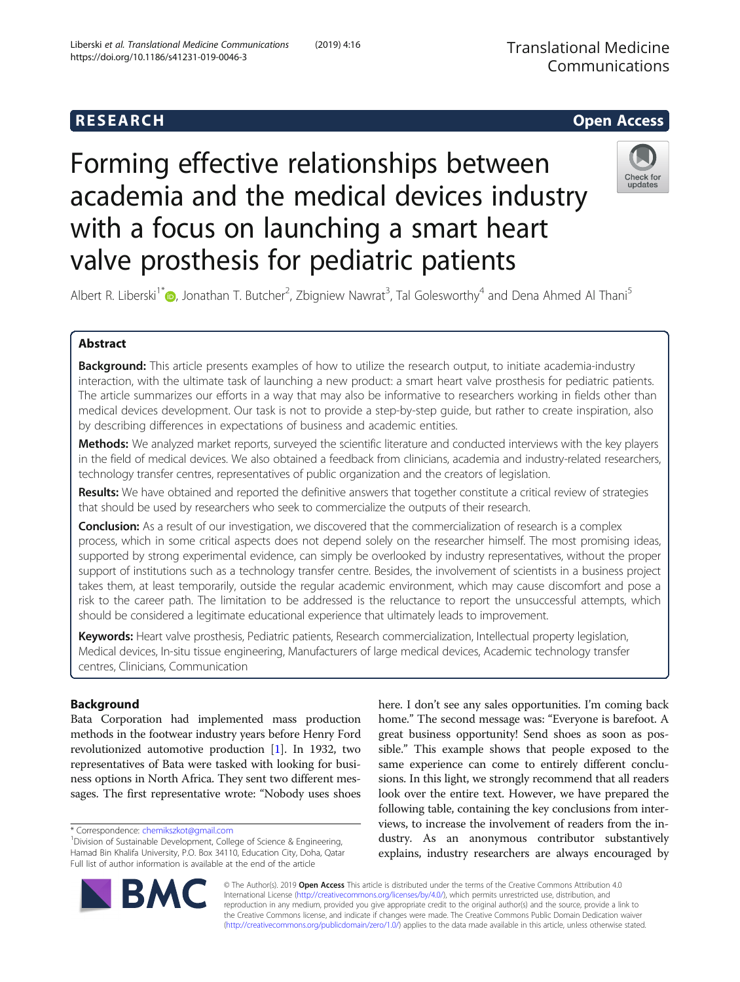# **RESEARCH CHEAR CHEAR CHEAR CHEAR CHEAR CHEAR CHEAR CHEAR CHEAR CHEAR CHEAR CHEAR CHEAR CHEAR CHEAR CHEAR CHEAR**

# Forming effective relationships between academia and the medical devices industry with a focus on launching a smart heart valve prosthesis for pediatric patients



Albert R. Liberski<sup>1\*</sup> (D)[,](http://orcid.org/0000-0002-0210-5979) Jonathan T. Butcher<sup>2</sup>, Zbigniew Nawrat<sup>3</sup>, Tal Golesworthy<sup>4</sup> and Dena Ahmed Al Thani<sup>5</sup>

# Abstract

Background: This article presents examples of how to utilize the research output, to initiate academia-industry interaction, with the ultimate task of launching a new product: a smart heart valve prosthesis for pediatric patients. The article summarizes our efforts in a way that may also be informative to researchers working in fields other than medical devices development. Our task is not to provide a step-by-step guide, but rather to create inspiration, also by describing differences in expectations of business and academic entities.

Methods: We analyzed market reports, surveyed the scientific literature and conducted interviews with the key players in the field of medical devices. We also obtained a feedback from clinicians, academia and industry-related researchers, technology transfer centres, representatives of public organization and the creators of legislation.

Results: We have obtained and reported the definitive answers that together constitute a critical review of strategies that should be used by researchers who seek to commercialize the outputs of their research.

**Conclusion:** As a result of our investigation, we discovered that the commercialization of research is a complex process, which in some critical aspects does not depend solely on the researcher himself. The most promising ideas, supported by strong experimental evidence, can simply be overlooked by industry representatives, without the proper support of institutions such as a technology transfer centre. Besides, the involvement of scientists in a business project takes them, at least temporarily, outside the regular academic environment, which may cause discomfort and pose a risk to the career path. The limitation to be addressed is the reluctance to report the unsuccessful attempts, which should be considered a legitimate educational experience that ultimately leads to improvement.

Keywords: Heart valve prosthesis, Pediatric patients, Research commercialization, Intellectual property legislation, Medical devices, In-situ tissue engineering, Manufacturers of large medical devices, Academic technology transfer centres, Clinicians, Communication

# Background

Bata Corporation had implemented mass production methods in the footwear industry years before Henry Ford revolutionized automotive production [\[1\]](#page-15-0). In 1932, two representatives of Bata were tasked with looking for business options in North Africa. They sent two different messages. The first representative wrote: "Nobody uses shoes

here. I don't see any sales opportunities. I'm coming back home." The second message was: "Everyone is barefoot. A great business opportunity! Send shoes as soon as possible." This example shows that people exposed to the same experience can come to entirely different conclusions. In this light, we strongly recommend that all readers look over the entire text. However, we have prepared the following table, containing the key conclusions from interviews, to increase the involvement of readers from the industry. As an anonymous contributor substantively explains, industry researchers are always encouraged by



© The Author(s). 2019 Open Access This article is distributed under the terms of the Creative Commons Attribution 4.0 International License [\(http://creativecommons.org/licenses/by/4.0/](http://creativecommons.org/licenses/by/4.0/)), which permits unrestricted use, distribution, and reproduction in any medium, provided you give appropriate credit to the original author(s) and the source, provide a link to the Creative Commons license, and indicate if changes were made. The Creative Commons Public Domain Dedication waiver [\(http://creativecommons.org/publicdomain/zero/1.0/](http://creativecommons.org/publicdomain/zero/1.0/)) applies to the data made available in this article, unless otherwise stated.

<sup>\*</sup> Correspondence: [chemikszkot@gmail.com](mailto:chemikszkot@gmail.com) <sup>1</sup>

<sup>&</sup>lt;sup>1</sup> Division of Sustainable Development, College of Science & Engineering, Hamad Bin Khalifa University, P.O. Box 34110, Education City, Doha, Qatar Full list of author information is available at the end of the article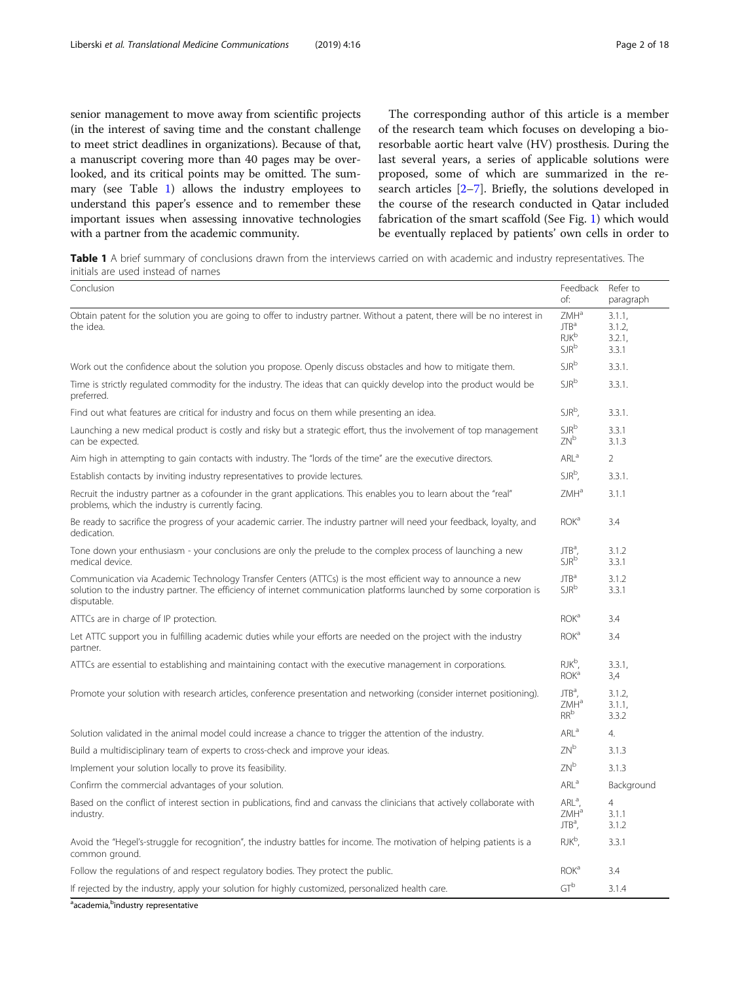senior management to move away from scientific projects (in the interest of saving time and the constant challenge to meet strict deadlines in organizations). Because of that, a manuscript covering more than 40 pages may be overlooked, and its critical points may be omitted. The summary (see Table 1) allows the industry employees to understand this paper's essence and to remember these important issues when assessing innovative technologies with a partner from the academic community.

The corresponding author of this article is a member of the research team which focuses on developing a bioresorbable aortic heart valve (HV) prosthesis. During the last several years, a series of applicable solutions were proposed, some of which are summarized in the research articles [[2](#page-15-0)–[7](#page-15-0)]. Briefly, the solutions developed in the course of the research conducted in Qatar included fabrication of the smart scaffold (See Fig. [1](#page-2-0)) which would be eventually replaced by patients' own cells in order to

Table 1 A brief summary of conclusions drawn from the interviews carried on with academic and industry representatives. The initials are used instead of names

| Conclusion                                                                                                                                                                                                                                        | Feedback<br>of:                                                     | Refer to<br>paragraph             |
|---------------------------------------------------------------------------------------------------------------------------------------------------------------------------------------------------------------------------------------------------|---------------------------------------------------------------------|-----------------------------------|
| Obtain patent for the solution you are going to offer to industry partner. Without a patent, there will be no interest in<br>the idea.                                                                                                            | ZMH <sup>a</sup><br>JTB <sup>a</sup><br>$RJK^b$<br>SIR <sup>b</sup> | 3.1.1<br>3.1.2,<br>3.2.1<br>3.3.1 |
| Work out the confidence about the solution you propose. Openly discuss obstacles and how to mitigate them.                                                                                                                                        | $SJR^b$                                                             | 3.3.1.                            |
| Time is strictly regulated commodity for the industry. The ideas that can quickly develop into the product would be<br>preferred.                                                                                                                 | SIR <sup>b</sup>                                                    | 3.3.1.                            |
| Find out what features are critical for industry and focus on them while presenting an idea.                                                                                                                                                      | $SJR^b$                                                             | 3.3.1.                            |
| Launching a new medical product is costly and risky but a strategic effort, thus the involvement of top management<br>can be expected.                                                                                                            | $SJR^b$<br>ZN <sup>b</sup>                                          | 3.3.1<br>3.1.3                    |
| Aim high in attempting to gain contacts with industry. The "lords of the time" are the executive directors.                                                                                                                                       | ARL <sup>a</sup>                                                    | $\overline{2}$                    |
| Establish contacts by inviting industry representatives to provide lectures.                                                                                                                                                                      | $SJR^b$                                                             | 3.3.1.                            |
| Recruit the industry partner as a cofounder in the grant applications. This enables you to learn about the "real"<br>problems, which the industry is currently facing.                                                                            | ZMH <sup>a</sup>                                                    | 3.1.1                             |
| Be ready to sacrifice the progress of your academic carrier. The industry partner will need your feedback, loyalty, and<br>dedication.                                                                                                            | <b>ROK</b> <sup>a</sup>                                             | 3.4                               |
| Tone down your enthusiasm - your conclusions are only the prelude to the complex process of launching a new<br>medical device.                                                                                                                    | $JTBa$ .<br>SIR <sup>b</sup>                                        | 3.1.2<br>3.3.1                    |
| Communication via Academic Technology Transfer Centers (ATTCs) is the most efficient way to announce a new<br>solution to the industry partner. The efficiency of internet communication platforms launched by some corporation is<br>disputable. | JTB <sup>a</sup><br>SJR <sup>b</sup>                                | 3.1.2<br>3.3.1                    |
| ATTCs are in charge of IP protection.                                                                                                                                                                                                             | <b>ROK</b> <sup>a</sup>                                             | 3.4                               |
| Let ATTC support you in fulfilling academic duties while your efforts are needed on the project with the industry<br>partner.                                                                                                                     | <b>ROK</b> <sup>a</sup>                                             | 3.4                               |
| ATTCs are essential to establishing and maintaining contact with the executive management in corporations.                                                                                                                                        | RJK <sup>b</sup> .<br><b>ROK</b> <sup>a</sup>                       | 3.3.1.<br>3,4                     |
| Promote your solution with research articles, conference presentation and networking (consider internet positioning).                                                                                                                             | JTB <sup>a</sup><br>ZMH <sup>a</sup><br>RR <sup>b</sup>             | 3.1.2<br>3.1.1,<br>3.3.2          |
| Solution validated in the animal model could increase a chance to trigger the attention of the industry.                                                                                                                                          | ARL <sup>a</sup>                                                    | 4.                                |
| Build a multidisciplinary team of experts to cross-check and improve your ideas.                                                                                                                                                                  | ZN <sup>b</sup>                                                     | 3.1.3                             |
| Implement your solution locally to prove its feasibility.                                                                                                                                                                                         | 7N <sup>b</sup>                                                     | 3.1.3                             |
| Confirm the commercial advantages of your solution.                                                                                                                                                                                               | ARI <sup>a</sup>                                                    | Background                        |
| Based on the conflict of interest section in publications, find and canvass the clinicians that actively collaborate with<br>industry.                                                                                                            | $ARL^a$<br>ZMH <sup>a</sup><br>$JTBa$ ,                             | $\overline{4}$<br>3.1.1<br>3.1.2  |
| Avoid the "Hegel's-struggle for recognition", the industry battles for income. The motivation of helping patients is a<br>common ground.                                                                                                          | $RJK^b$ .                                                           | 3.3.1                             |
| Follow the regulations of and respect regulatory bodies. They protect the public.                                                                                                                                                                 | <b>ROK</b> <sup>a</sup>                                             | 3.4                               |
| If rejected by the industry, apply your solution for highly customized, personalized health care.                                                                                                                                                 | $\mathsf{GT}^{\mathsf{b}}$                                          | 3.1.4                             |

<sup>a</sup>academia, <sup>b</sup>industry representative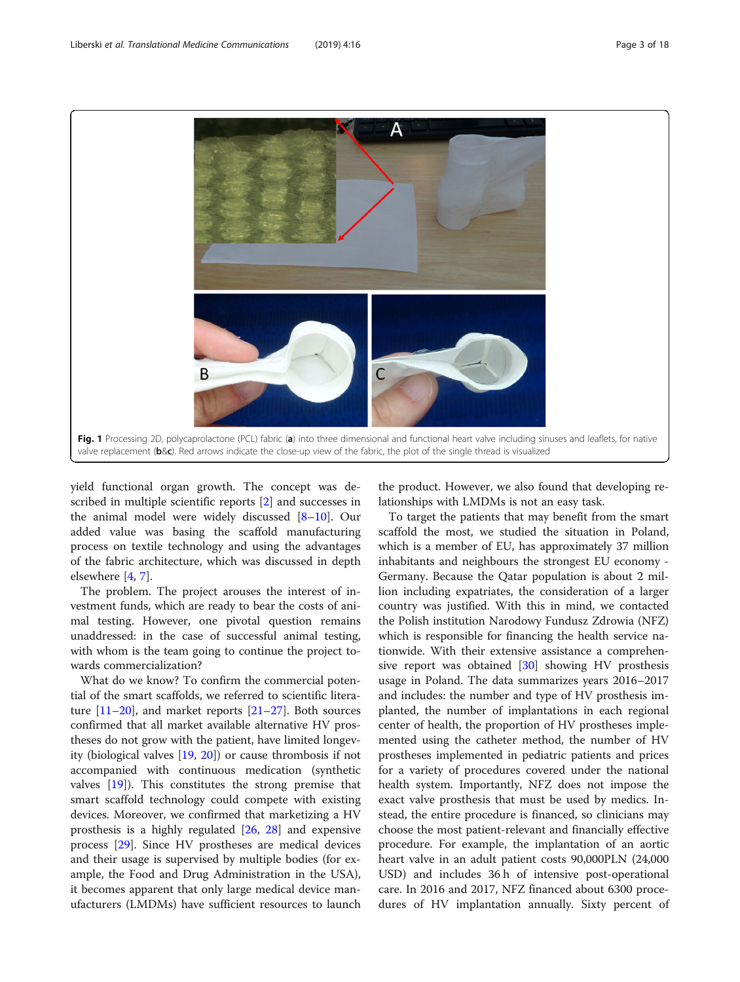<span id="page-2-0"></span>

yield functional organ growth. The concept was described in multiple scientific reports [[2\]](#page-15-0) and successes in the animal model were widely discussed [\[8](#page-15-0)–[10](#page-15-0)]. Our added value was basing the scaffold manufacturing process on textile technology and using the advantages of the fabric architecture, which was discussed in depth elsewhere [[4](#page-15-0), [7](#page-15-0)].

The problem. The project arouses the interest of investment funds, which are ready to bear the costs of animal testing. However, one pivotal question remains unaddressed: in the case of successful animal testing, with whom is the team going to continue the project towards commercialization?

What do we know? To confirm the commercial potential of the smart scaffolds, we referred to scientific literature [\[11](#page-15-0)–[20\]](#page-15-0), and market reports [\[21](#page-15-0)–[27\]](#page-16-0). Both sources confirmed that all market available alternative HV prostheses do not grow with the patient, have limited longevity (biological valves [\[19](#page-15-0), [20](#page-15-0)]) or cause thrombosis if not accompanied with continuous medication (synthetic valves [[19](#page-15-0)]). This constitutes the strong premise that smart scaffold technology could compete with existing devices. Moreover, we confirmed that marketizing a HV prosthesis is a highly regulated [\[26](#page-16-0), [28\]](#page-16-0) and expensive process [[29\]](#page-16-0). Since HV prostheses are medical devices and their usage is supervised by multiple bodies (for example, the Food and Drug Administration in the USA), it becomes apparent that only large medical device manufacturers (LMDMs) have sufficient resources to launch

the product. However, we also found that developing relationships with LMDMs is not an easy task.

To target the patients that may benefit from the smart scaffold the most, we studied the situation in Poland, which is a member of EU, has approximately 37 million inhabitants and neighbours the strongest EU economy - Germany. Because the Qatar population is about 2 million including expatriates, the consideration of a larger country was justified. With this in mind, we contacted the Polish institution Narodowy Fundusz Zdrowia (NFZ) which is responsible for financing the health service nationwide. With their extensive assistance a comprehensive report was obtained [\[30](#page-16-0)] showing HV prosthesis usage in Poland. The data summarizes years 2016–2017 and includes: the number and type of HV prosthesis implanted, the number of implantations in each regional center of health, the proportion of HV prostheses implemented using the catheter method, the number of HV prostheses implemented in pediatric patients and prices for a variety of procedures covered under the national health system. Importantly, NFZ does not impose the exact valve prosthesis that must be used by medics. Instead, the entire procedure is financed, so clinicians may choose the most patient-relevant and financially effective procedure. For example, the implantation of an aortic heart valve in an adult patient costs 90,000PLN (24,000 USD) and includes 36 h of intensive post-operational care. In 2016 and 2017, NFZ financed about 6300 procedures of HV implantation annually. Sixty percent of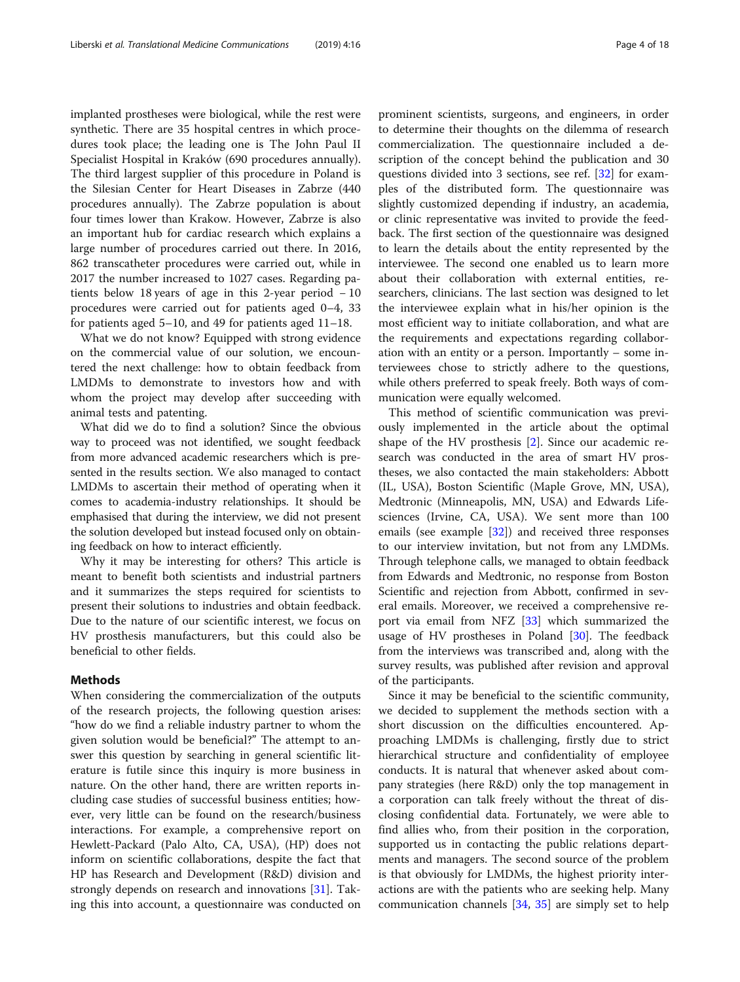implanted prostheses were biological, while the rest were synthetic. There are 35 hospital centres in which procedures took place; the leading one is The John Paul II Specialist Hospital in Kraków (690 procedures annually). The third largest supplier of this procedure in Poland is the Silesian Center for Heart Diseases in Zabrze (440 procedures annually). The Zabrze population is about four times lower than Krakow. However, Zabrze is also an important hub for cardiac research which explains a large number of procedures carried out there. In 2016, 862 transcatheter procedures were carried out, while in 2017 the number increased to 1027 cases. Regarding patients below 18 years of age in this 2-year period  $-10$ procedures were carried out for patients aged 0–4, 33 for patients aged 5–10, and 49 for patients aged 11–18.

What we do not know? Equipped with strong evidence on the commercial value of our solution, we encountered the next challenge: how to obtain feedback from LMDMs to demonstrate to investors how and with whom the project may develop after succeeding with animal tests and patenting.

What did we do to find a solution? Since the obvious way to proceed was not identified, we sought feedback from more advanced academic researchers which is presented in the results section. We also managed to contact LMDMs to ascertain their method of operating when it comes to academia-industry relationships. It should be emphasised that during the interview, we did not present the solution developed but instead focused only on obtaining feedback on how to interact efficiently.

Why it may be interesting for others? This article is meant to benefit both scientists and industrial partners and it summarizes the steps required for scientists to present their solutions to industries and obtain feedback. Due to the nature of our scientific interest, we focus on HV prosthesis manufacturers, but this could also be beneficial to other fields.

#### Methods

When considering the commercialization of the outputs of the research projects, the following question arises: "how do we find a reliable industry partner to whom the given solution would be beneficial?" The attempt to answer this question by searching in general scientific literature is futile since this inquiry is more business in nature. On the other hand, there are written reports including case studies of successful business entities; however, very little can be found on the research/business interactions. For example, a comprehensive report on Hewlett-Packard (Palo Alto, CA, USA), (HP) does not inform on scientific collaborations, despite the fact that HP has Research and Development (R&D) division and strongly depends on research and innovations [[31\]](#page-16-0). Taking this into account, a questionnaire was conducted on prominent scientists, surgeons, and engineers, in order to determine their thoughts on the dilemma of research commercialization. The questionnaire included a description of the concept behind the publication and 30 questions divided into 3 sections, see ref. [[32\]](#page-16-0) for examples of the distributed form. The questionnaire was slightly customized depending if industry, an academia, or clinic representative was invited to provide the feedback. The first section of the questionnaire was designed to learn the details about the entity represented by the interviewee. The second one enabled us to learn more about their collaboration with external entities, researchers, clinicians. The last section was designed to let the interviewee explain what in his/her opinion is the most efficient way to initiate collaboration, and what are the requirements and expectations regarding collaboration with an entity or a person. Importantly – some interviewees chose to strictly adhere to the questions, while others preferred to speak freely. Both ways of communication were equally welcomed.

This method of scientific communication was previously implemented in the article about the optimal shape of the HV prosthesis [[2\]](#page-15-0). Since our academic research was conducted in the area of smart HV prostheses, we also contacted the main stakeholders: Abbott (IL, USA), Boston Scientific (Maple Grove, MN, USA), Medtronic (Minneapolis, MN, USA) and Edwards Lifesciences (Irvine, CA, USA). We sent more than 100 emails (see example  $[32]$  $[32]$ ) and received three responses to our interview invitation, but not from any LMDMs. Through telephone calls, we managed to obtain feedback from Edwards and Medtronic, no response from Boston Scientific and rejection from Abbott, confirmed in several emails. Moreover, we received a comprehensive re-port via email from NFZ [[33\]](#page-16-0) which summarized the usage of HV prostheses in Poland [[30](#page-16-0)]. The feedback from the interviews was transcribed and, along with the survey results, was published after revision and approval of the participants.

Since it may be beneficial to the scientific community, we decided to supplement the methods section with a short discussion on the difficulties encountered. Approaching LMDMs is challenging, firstly due to strict hierarchical structure and confidentiality of employee conducts. It is natural that whenever asked about company strategies (here R&D) only the top management in a corporation can talk freely without the threat of disclosing confidential data. Fortunately, we were able to find allies who, from their position in the corporation, supported us in contacting the public relations departments and managers. The second source of the problem is that obviously for LMDMs, the highest priority interactions are with the patients who are seeking help. Many communication channels [\[34](#page-16-0), [35\]](#page-16-0) are simply set to help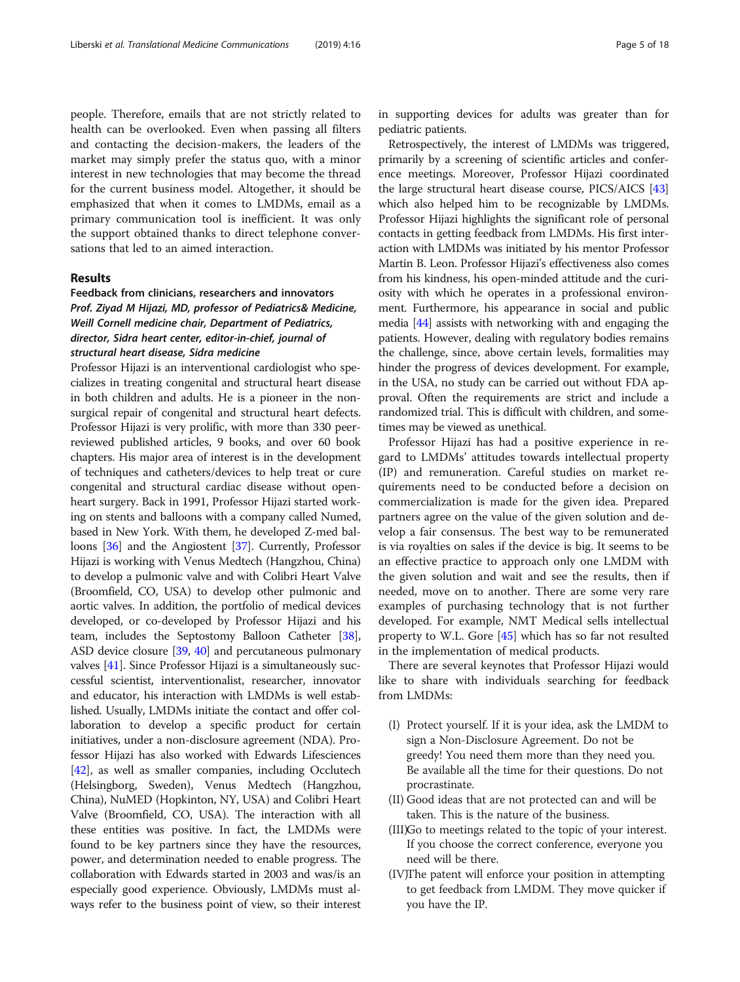people. Therefore, emails that are not strictly related to health can be overlooked. Even when passing all filters and contacting the decision-makers, the leaders of the market may simply prefer the status quo, with a minor interest in new technologies that may become the thread for the current business model. Altogether, it should be emphasized that when it comes to LMDMs, email as a primary communication tool is inefficient. It was only the support obtained thanks to direct telephone conversations that led to an aimed interaction.

#### Results

# Feedback from clinicians, researchers and innovators Prof. Ziyad M Hijazi, MD, professor of Pediatrics& Medicine, Weill Cornell medicine chair, Department of Pediatrics, director, Sidra heart center, editor-in-chief, journal of structural heart disease, Sidra medicine

Professor Hijazi is an interventional cardiologist who specializes in treating congenital and structural heart disease in both children and adults. He is a pioneer in the nonsurgical repair of congenital and structural heart defects. Professor Hijazi is very prolific, with more than 330 peerreviewed published articles, 9 books, and over 60 book chapters. His major area of interest is in the development of techniques and catheters/devices to help treat or cure congenital and structural cardiac disease without openheart surgery. Back in 1991, Professor Hijazi started working on stents and balloons with a company called Numed, based in New York. With them, he developed Z-med balloons [[36](#page-16-0)] and the Angiostent [[37](#page-16-0)]. Currently, Professor Hijazi is working with Venus Medtech (Hangzhou, China) to develop a pulmonic valve and with Colibri Heart Valve (Broomfield, CO, USA) to develop other pulmonic and aortic valves. In addition, the portfolio of medical devices developed, or co-developed by Professor Hijazi and his team, includes the Septostomy Balloon Catheter [[38](#page-16-0)], ASD device closure [[39](#page-16-0), [40](#page-16-0)] and percutaneous pulmonary valves [\[41\]](#page-16-0). Since Professor Hijazi is a simultaneously successful scientist, interventionalist, researcher, innovator and educator, his interaction with LMDMs is well established. Usually, LMDMs initiate the contact and offer collaboration to develop a specific product for certain initiatives, under a non-disclosure agreement (NDA). Professor Hijazi has also worked with Edwards Lifesciences [[42](#page-16-0)], as well as smaller companies, including Occlutech (Helsingborg, Sweden), Venus Medtech (Hangzhou, China), NuMED (Hopkinton, NY, USA) and Colibri Heart Valve (Broomfield, CO, USA). The interaction with all these entities was positive. In fact, the LMDMs were found to be key partners since they have the resources, power, and determination needed to enable progress. The collaboration with Edwards started in 2003 and was/is an especially good experience. Obviously, LMDMs must always refer to the business point of view, so their interest in supporting devices for adults was greater than for pediatric patients.

Retrospectively, the interest of LMDMs was triggered, primarily by a screening of scientific articles and conference meetings. Moreover, Professor Hijazi coordinated the large structural heart disease course, PICS/AICS [[43](#page-16-0)] which also helped him to be recognizable by LMDMs. Professor Hijazi highlights the significant role of personal contacts in getting feedback from LMDMs. His first interaction with LMDMs was initiated by his mentor Professor Martin B. Leon. Professor Hijazi's effectiveness also comes from his kindness, his open-minded attitude and the curiosity with which he operates in a professional environment. Furthermore, his appearance in social and public media [\[44\]](#page-16-0) assists with networking with and engaging the patients. However, dealing with regulatory bodies remains the challenge, since, above certain levels, formalities may hinder the progress of devices development. For example, in the USA, no study can be carried out without FDA approval. Often the requirements are strict and include a randomized trial. This is difficult with children, and sometimes may be viewed as unethical.

Professor Hijazi has had a positive experience in regard to LMDMs' attitudes towards intellectual property (IP) and remuneration. Careful studies on market requirements need to be conducted before a decision on commercialization is made for the given idea. Prepared partners agree on the value of the given solution and develop a fair consensus. The best way to be remunerated is via royalties on sales if the device is big. It seems to be an effective practice to approach only one LMDM with the given solution and wait and see the results, then if needed, move on to another. There are some very rare examples of purchasing technology that is not further developed. For example, NMT Medical sells intellectual property to W.L. Gore [\[45](#page-16-0)] which has so far not resulted in the implementation of medical products.

There are several keynotes that Professor Hijazi would like to share with individuals searching for feedback from LMDMs:

- (I) Protect yourself. If it is your idea, ask the LMDM to sign a Non-Disclosure Agreement. Do not be greedy! You need them more than they need you. Be available all the time for their questions. Do not procrastinate.
- (II) Good ideas that are not protected can and will be taken. This is the nature of the business.
- (III)Go to meetings related to the topic of your interest. If you choose the correct conference, everyone you need will be there.
- (IV)The patent will enforce your position in attempting to get feedback from LMDM. They move quicker if you have the IP.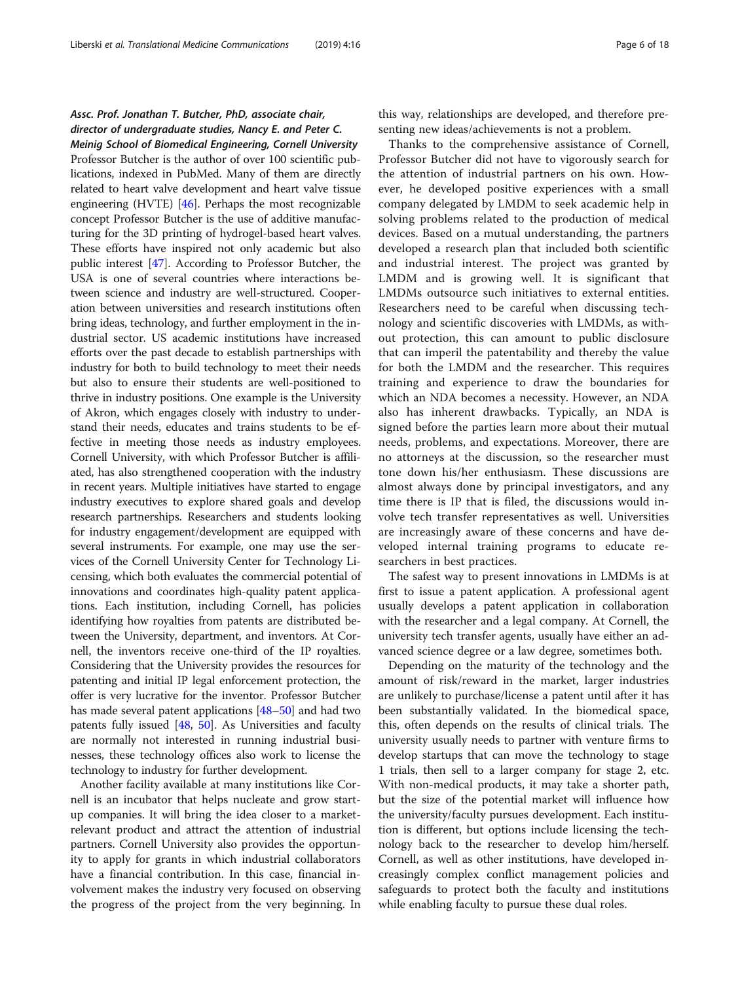# Assc. Prof. Jonathan T. Butcher, PhD, associate chair, director of undergraduate studies, Nancy E. and Peter C. Meinig School of Biomedical Engineering, Cornell University

Professor Butcher is the author of over 100 scientific publications, indexed in PubMed. Many of them are directly related to heart valve development and heart valve tissue engineering (HVTE) [\[46\]](#page-16-0). Perhaps the most recognizable concept Professor Butcher is the use of additive manufacturing for the 3D printing of hydrogel-based heart valves. These efforts have inspired not only academic but also public interest [\[47\]](#page-16-0). According to Professor Butcher, the USA is one of several countries where interactions between science and industry are well-structured. Cooperation between universities and research institutions often bring ideas, technology, and further employment in the industrial sector. US academic institutions have increased efforts over the past decade to establish partnerships with industry for both to build technology to meet their needs but also to ensure their students are well-positioned to thrive in industry positions. One example is the University of Akron, which engages closely with industry to understand their needs, educates and trains students to be effective in meeting those needs as industry employees. Cornell University, with which Professor Butcher is affiliated, has also strengthened cooperation with the industry in recent years. Multiple initiatives have started to engage industry executives to explore shared goals and develop research partnerships. Researchers and students looking for industry engagement/development are equipped with several instruments. For example, one may use the services of the Cornell University Center for Technology Licensing, which both evaluates the commercial potential of innovations and coordinates high-quality patent applications. Each institution, including Cornell, has policies identifying how royalties from patents are distributed between the University, department, and inventors. At Cornell, the inventors receive one-third of the IP royalties. Considering that the University provides the resources for patenting and initial IP legal enforcement protection, the offer is very lucrative for the inventor. Professor Butcher has made several patent applications [\[48](#page-16-0)–[50](#page-16-0)] and had two patents fully issued [[48](#page-16-0), [50](#page-16-0)]. As Universities and faculty are normally not interested in running industrial businesses, these technology offices also work to license the technology to industry for further development.

Another facility available at many institutions like Cornell is an incubator that helps nucleate and grow startup companies. It will bring the idea closer to a marketrelevant product and attract the attention of industrial partners. Cornell University also provides the opportunity to apply for grants in which industrial collaborators have a financial contribution. In this case, financial involvement makes the industry very focused on observing the progress of the project from the very beginning. In this way, relationships are developed, and therefore presenting new ideas/achievements is not a problem.

Thanks to the comprehensive assistance of Cornell, Professor Butcher did not have to vigorously search for the attention of industrial partners on his own. However, he developed positive experiences with a small company delegated by LMDM to seek academic help in solving problems related to the production of medical devices. Based on a mutual understanding, the partners developed a research plan that included both scientific and industrial interest. The project was granted by LMDM and is growing well. It is significant that LMDMs outsource such initiatives to external entities. Researchers need to be careful when discussing technology and scientific discoveries with LMDMs, as without protection, this can amount to public disclosure that can imperil the patentability and thereby the value for both the LMDM and the researcher. This requires training and experience to draw the boundaries for which an NDA becomes a necessity. However, an NDA also has inherent drawbacks. Typically, an NDA is signed before the parties learn more about their mutual needs, problems, and expectations. Moreover, there are no attorneys at the discussion, so the researcher must tone down his/her enthusiasm. These discussions are almost always done by principal investigators, and any time there is IP that is filed, the discussions would involve tech transfer representatives as well. Universities are increasingly aware of these concerns and have developed internal training programs to educate researchers in best practices.

The safest way to present innovations in LMDMs is at first to issue a patent application. A professional agent usually develops a patent application in collaboration with the researcher and a legal company. At Cornell, the university tech transfer agents, usually have either an advanced science degree or a law degree, sometimes both.

Depending on the maturity of the technology and the amount of risk/reward in the market, larger industries are unlikely to purchase/license a patent until after it has been substantially validated. In the biomedical space, this, often depends on the results of clinical trials. The university usually needs to partner with venture firms to develop startups that can move the technology to stage 1 trials, then sell to a larger company for stage 2, etc. With non-medical products, it may take a shorter path, but the size of the potential market will influence how the university/faculty pursues development. Each institution is different, but options include licensing the technology back to the researcher to develop him/herself. Cornell, as well as other institutions, have developed increasingly complex conflict management policies and safeguards to protect both the faculty and institutions while enabling faculty to pursue these dual roles.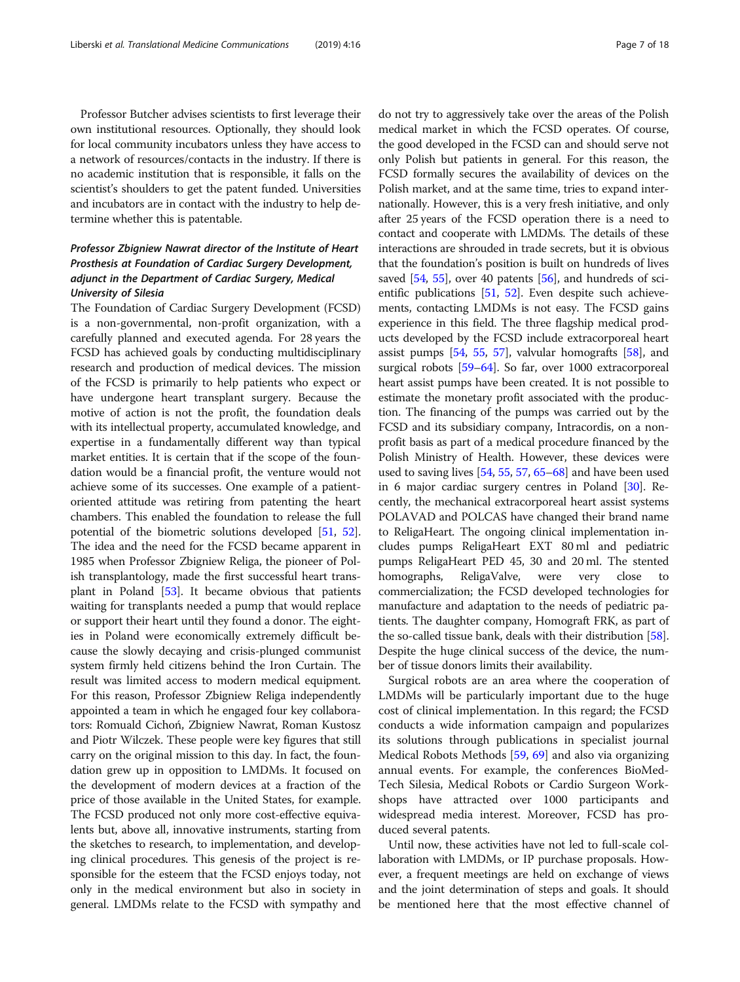Professor Butcher advises scientists to first leverage their own institutional resources. Optionally, they should look for local community incubators unless they have access to a network of resources/contacts in the industry. If there is no academic institution that is responsible, it falls on the scientist's shoulders to get the patent funded. Universities and incubators are in contact with the industry to help determine whether this is patentable.

# Professor Zbigniew Nawrat director of the Institute of Heart Prosthesis at Foundation of Cardiac Surgery Development, adjunct in the Department of Cardiac Surgery, Medical University of Silesia

The Foundation of Cardiac Surgery Development (FCSD) is a non-governmental, non-profit organization, with a carefully planned and executed agenda. For 28 years the FCSD has achieved goals by conducting multidisciplinary research and production of medical devices. The mission of the FCSD is primarily to help patients who expect or have undergone heart transplant surgery. Because the motive of action is not the profit, the foundation deals with its intellectual property, accumulated knowledge, and expertise in a fundamentally different way than typical market entities. It is certain that if the scope of the foundation would be a financial profit, the venture would not achieve some of its successes. One example of a patientoriented attitude was retiring from patenting the heart chambers. This enabled the foundation to release the full potential of the biometric solutions developed [\[51,](#page-16-0) [52](#page-16-0)]. The idea and the need for the FCSD became apparent in 1985 when Professor Zbigniew Religa, the pioneer of Polish transplantology, made the first successful heart transplant in Poland [[53](#page-16-0)]. It became obvious that patients waiting for transplants needed a pump that would replace or support their heart until they found a donor. The eighties in Poland were economically extremely difficult because the slowly decaying and crisis-plunged communist system firmly held citizens behind the Iron Curtain. The result was limited access to modern medical equipment. For this reason, Professor Zbigniew Religa independently appointed a team in which he engaged four key collaborators: Romuald Cichoń, Zbigniew Nawrat, Roman Kustosz and Piotr Wilczek. These people were key figures that still carry on the original mission to this day. In fact, the foundation grew up in opposition to LMDMs. It focused on the development of modern devices at a fraction of the price of those available in the United States, for example. The FCSD produced not only more cost-effective equivalents but, above all, innovative instruments, starting from the sketches to research, to implementation, and developing clinical procedures. This genesis of the project is responsible for the esteem that the FCSD enjoys today, not only in the medical environment but also in society in general. LMDMs relate to the FCSD with sympathy and do not try to aggressively take over the areas of the Polish medical market in which the FCSD operates. Of course, the good developed in the FCSD can and should serve not only Polish but patients in general. For this reason, the FCSD formally secures the availability of devices on the Polish market, and at the same time, tries to expand internationally. However, this is a very fresh initiative, and only after 25 years of the FCSD operation there is a need to contact and cooperate with LMDMs. The details of these interactions are shrouded in trade secrets, but it is obvious that the foundation's position is built on hundreds of lives saved [\[54,](#page-16-0) [55\]](#page-16-0), over 40 patents [[56](#page-16-0)], and hundreds of scientific publications [\[51,](#page-16-0) [52](#page-16-0)]. Even despite such achievements, contacting LMDMs is not easy. The FCSD gains experience in this field. The three flagship medical products developed by the FCSD include extracorporeal heart assist pumps [[54](#page-16-0), [55,](#page-16-0) [57\]](#page-16-0), valvular homografts [[58](#page-16-0)], and surgical robots [[59](#page-16-0)–[64\]](#page-16-0). So far, over 1000 extracorporeal heart assist pumps have been created. It is not possible to estimate the monetary profit associated with the production. The financing of the pumps was carried out by the FCSD and its subsidiary company, Intracordis, on a nonprofit basis as part of a medical procedure financed by the Polish Ministry of Health. However, these devices were used to saving lives [[54](#page-16-0), [55,](#page-16-0) [57,](#page-16-0) [65](#page-16-0)–[68\]](#page-17-0) and have been used in 6 major cardiac surgery centres in Poland [\[30\]](#page-16-0). Recently, the mechanical extracorporeal heart assist systems POLAVAD and POLCAS have changed their brand name to ReligaHeart. The ongoing clinical implementation includes pumps ReligaHeart EXT 80 ml and pediatric pumps ReligaHeart PED 45, 30 and 20 ml. The stented homographs, ReligaValve, were very close to commercialization; the FCSD developed technologies for manufacture and adaptation to the needs of pediatric patients. The daughter company, Homograft FRK, as part of the so-called tissue bank, deals with their distribution [[58](#page-16-0)]. Despite the huge clinical success of the device, the number of tissue donors limits their availability.

Surgical robots are an area where the cooperation of LMDMs will be particularly important due to the huge cost of clinical implementation. In this regard; the FCSD conducts a wide information campaign and popularizes its solutions through publications in specialist journal Medical Robots Methods [[59,](#page-16-0) [69](#page-17-0)] and also via organizing annual events. For example, the conferences BioMed-Tech Silesia, Medical Robots or Cardio Surgeon Workshops have attracted over 1000 participants and widespread media interest. Moreover, FCSD has produced several patents.

Until now, these activities have not led to full-scale collaboration with LMDMs, or IP purchase proposals. However, a frequent meetings are held on exchange of views and the joint determination of steps and goals. It should be mentioned here that the most effective channel of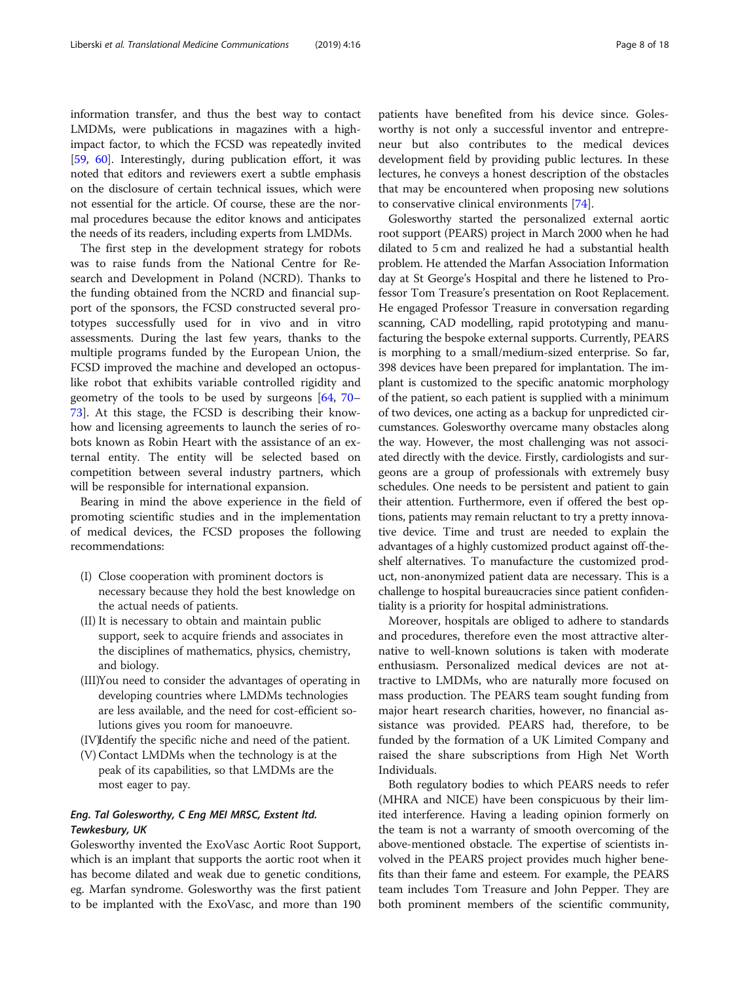information transfer, and thus the best way to contact LMDMs, were publications in magazines with a highimpact factor, to which the FCSD was repeatedly invited [[59](#page-16-0), [60](#page-16-0)]. Interestingly, during publication effort, it was noted that editors and reviewers exert a subtle emphasis on the disclosure of certain technical issues, which were not essential for the article. Of course, these are the normal procedures because the editor knows and anticipates the needs of its readers, including experts from LMDMs.

The first step in the development strategy for robots was to raise funds from the National Centre for Research and Development in Poland (NCRD). Thanks to the funding obtained from the NCRD and financial support of the sponsors, the FCSD constructed several prototypes successfully used for in vivo and in vitro assessments. During the last few years, thanks to the multiple programs funded by the European Union, the FCSD improved the machine and developed an octopuslike robot that exhibits variable controlled rigidity and geometry of the tools to be used by surgeons [[64](#page-16-0), [70](#page-17-0)– [73\]](#page-17-0). At this stage, the FCSD is describing their knowhow and licensing agreements to launch the series of robots known as Robin Heart with the assistance of an external entity. The entity will be selected based on competition between several industry partners, which will be responsible for international expansion.

Bearing in mind the above experience in the field of promoting scientific studies and in the implementation of medical devices, the FCSD proposes the following recommendations:

- (I) Close cooperation with prominent doctors is necessary because they hold the best knowledge on the actual needs of patients.
- (II) It is necessary to obtain and maintain public support, seek to acquire friends and associates in the disciplines of mathematics, physics, chemistry, and biology.
- (III)You need to consider the advantages of operating in developing countries where LMDMs technologies are less available, and the need for cost-efficient solutions gives you room for manoeuvre.
- (IV)Identify the specific niche and need of the patient.
- (V) Contact LMDMs when the technology is at the peak of its capabilities, so that LMDMs are the most eager to pay.

# Eng. Tal Golesworthy, C Eng MEI MRSC, Exstent ltd. Tewkesbury, UK

Golesworthy invented the ExoVasc Aortic Root Support, which is an implant that supports the aortic root when it has become dilated and weak due to genetic conditions, eg. Marfan syndrome. Golesworthy was the first patient to be implanted with the ExoVasc, and more than 190

patients have benefited from his device since. Golesworthy is not only a successful inventor and entrepreneur but also contributes to the medical devices development field by providing public lectures. In these lectures, he conveys a honest description of the obstacles that may be encountered when proposing new solutions to conservative clinical environments [\[74\]](#page-17-0).

Golesworthy started the personalized external aortic root support (PEARS) project in March 2000 when he had dilated to 5 cm and realized he had a substantial health problem. He attended the Marfan Association Information day at St George's Hospital and there he listened to Professor Tom Treasure's presentation on Root Replacement. He engaged Professor Treasure in conversation regarding scanning, CAD modelling, rapid prototyping and manufacturing the bespoke external supports. Currently, PEARS is morphing to a small/medium-sized enterprise. So far, 398 devices have been prepared for implantation. The implant is customized to the specific anatomic morphology of the patient, so each patient is supplied with a minimum of two devices, one acting as a backup for unpredicted circumstances. Golesworthy overcame many obstacles along the way. However, the most challenging was not associated directly with the device. Firstly, cardiologists and surgeons are a group of professionals with extremely busy schedules. One needs to be persistent and patient to gain their attention. Furthermore, even if offered the best options, patients may remain reluctant to try a pretty innovative device. Time and trust are needed to explain the advantages of a highly customized product against off-theshelf alternatives. To manufacture the customized product, non-anonymized patient data are necessary. This is a challenge to hospital bureaucracies since patient confidentiality is a priority for hospital administrations.

Moreover, hospitals are obliged to adhere to standards and procedures, therefore even the most attractive alternative to well-known solutions is taken with moderate enthusiasm. Personalized medical devices are not attractive to LMDMs, who are naturally more focused on mass production. The PEARS team sought funding from major heart research charities, however, no financial assistance was provided. PEARS had, therefore, to be funded by the formation of a UK Limited Company and raised the share subscriptions from High Net Worth Individuals.

Both regulatory bodies to which PEARS needs to refer (MHRA and NICE) have been conspicuous by their limited interference. Having a leading opinion formerly on the team is not a warranty of smooth overcoming of the above-mentioned obstacle. The expertise of scientists involved in the PEARS project provides much higher benefits than their fame and esteem. For example, the PEARS team includes Tom Treasure and John Pepper. They are both prominent members of the scientific community,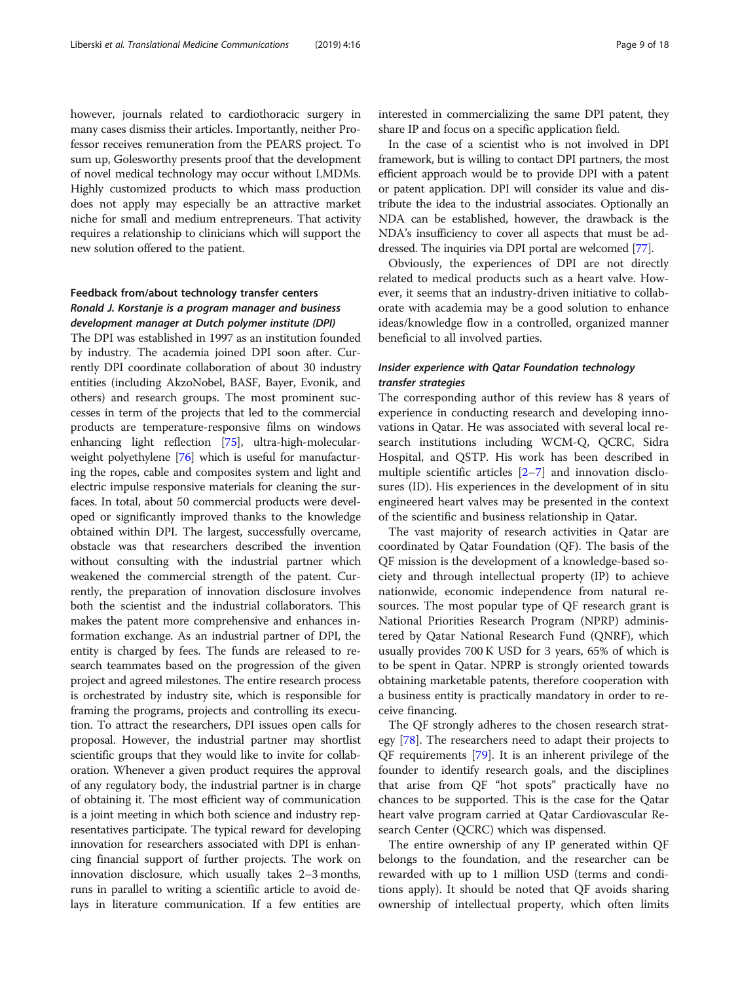however, journals related to cardiothoracic surgery in many cases dismiss their articles. Importantly, neither Professor receives remuneration from the PEARS project. To sum up, Golesworthy presents proof that the development of novel medical technology may occur without LMDMs. Highly customized products to which mass production does not apply may especially be an attractive market niche for small and medium entrepreneurs. That activity requires a relationship to clinicians which will support the new solution offered to the patient.

# Feedback from/about technology transfer centers Ronald J. Korstanje is a program manager and business development manager at Dutch polymer institute (DPI)

The DPI was established in 1997 as an institution founded by industry. The academia joined DPI soon after. Currently DPI coordinate collaboration of about 30 industry entities (including AkzoNobel, BASF, Bayer, Evonik, and others) and research groups. The most prominent successes in term of the projects that led to the commercial products are temperature-responsive films on windows enhancing light reflection [\[75\]](#page-17-0), ultra-high-molecular-weight polyethylene [\[76\]](#page-17-0) which is useful for manufacturing the ropes, cable and composites system and light and electric impulse responsive materials for cleaning the surfaces. In total, about 50 commercial products were developed or significantly improved thanks to the knowledge obtained within DPI. The largest, successfully overcame, obstacle was that researchers described the invention without consulting with the industrial partner which weakened the commercial strength of the patent. Currently, the preparation of innovation disclosure involves both the scientist and the industrial collaborators. This makes the patent more comprehensive and enhances information exchange. As an industrial partner of DPI, the entity is charged by fees. The funds are released to research teammates based on the progression of the given project and agreed milestones. The entire research process is orchestrated by industry site, which is responsible for framing the programs, projects and controlling its execution. To attract the researchers, DPI issues open calls for proposal. However, the industrial partner may shortlist scientific groups that they would like to invite for collaboration. Whenever a given product requires the approval of any regulatory body, the industrial partner is in charge of obtaining it. The most efficient way of communication is a joint meeting in which both science and industry representatives participate. The typical reward for developing innovation for researchers associated with DPI is enhancing financial support of further projects. The work on innovation disclosure, which usually takes 2–3 months, runs in parallel to writing a scientific article to avoid delays in literature communication. If a few entities are interested in commercializing the same DPI patent, they share IP and focus on a specific application field.

In the case of a scientist who is not involved in DPI framework, but is willing to contact DPI partners, the most efficient approach would be to provide DPI with a patent or patent application. DPI will consider its value and distribute the idea to the industrial associates. Optionally an NDA can be established, however, the drawback is the NDA's insufficiency to cover all aspects that must be addressed. The inquiries via DPI portal are welcomed [[77](#page-17-0)].

Obviously, the experiences of DPI are not directly related to medical products such as a heart valve. However, it seems that an industry-driven initiative to collaborate with academia may be a good solution to enhance ideas/knowledge flow in a controlled, organized manner beneficial to all involved parties.

#### Insider experience with Qatar Foundation technology transfer strategies

The corresponding author of this review has 8 years of experience in conducting research and developing innovations in Qatar. He was associated with several local research institutions including WCM-Q, QCRC, Sidra Hospital, and QSTP. His work has been described in multiple scientific articles [\[2](#page-15-0)–[7](#page-15-0)] and innovation disclosures (ID). His experiences in the development of in situ engineered heart valves may be presented in the context of the scientific and business relationship in Qatar.

The vast majority of research activities in Qatar are coordinated by Qatar Foundation (QF). The basis of the QF mission is the development of a knowledge-based society and through intellectual property (IP) to achieve nationwide, economic independence from natural resources. The most popular type of QF research grant is National Priorities Research Program (NPRP) administered by Qatar National Research Fund (QNRF), which usually provides 700 K USD for 3 years, 65% of which is to be spent in Qatar. NPRP is strongly oriented towards obtaining marketable patents, therefore cooperation with a business entity is practically mandatory in order to receive financing.

The QF strongly adheres to the chosen research strat-egy [[78\]](#page-17-0). The researchers need to adapt their projects to QF requirements [[79\]](#page-17-0). It is an inherent privilege of the founder to identify research goals, and the disciplines that arise from QF "hot spots" practically have no chances to be supported. This is the case for the Qatar heart valve program carried at Qatar Cardiovascular Research Center (QCRC) which was dispensed.

The entire ownership of any IP generated within QF belongs to the foundation, and the researcher can be rewarded with up to 1 million USD (terms and conditions apply). It should be noted that QF avoids sharing ownership of intellectual property, which often limits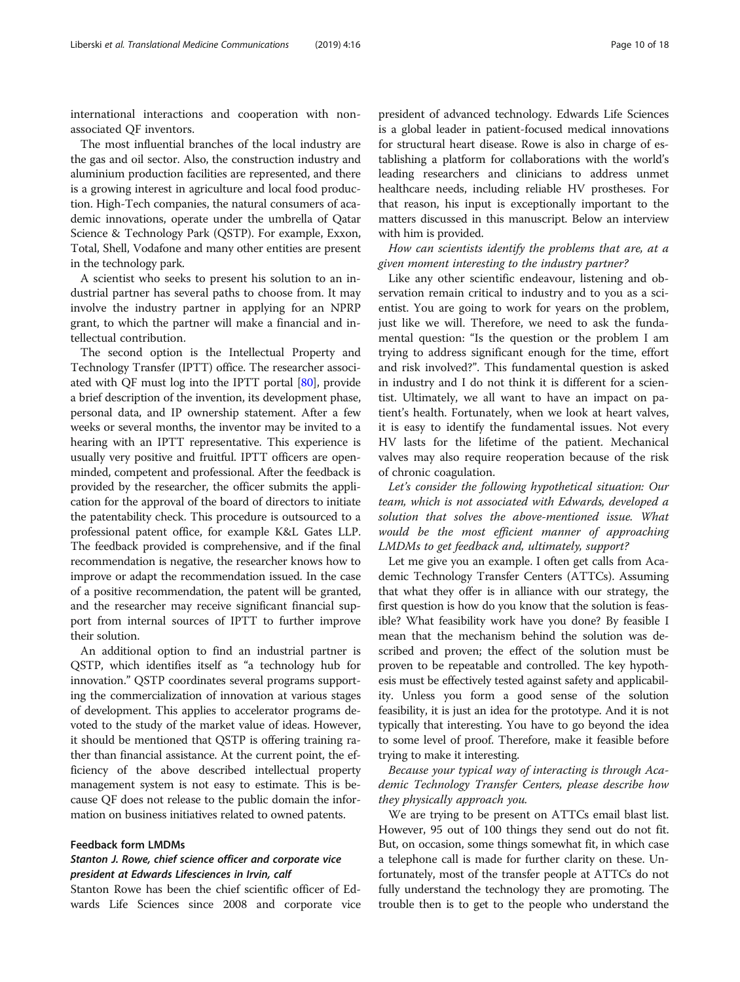international interactions and cooperation with nonassociated QF inventors.

The most influential branches of the local industry are the gas and oil sector. Also, the construction industry and aluminium production facilities are represented, and there is a growing interest in agriculture and local food production. High-Tech companies, the natural consumers of academic innovations, operate under the umbrella of Qatar Science & Technology Park (QSTP). For example, Exxon, Total, Shell, Vodafone and many other entities are present in the technology park.

A scientist who seeks to present his solution to an industrial partner has several paths to choose from. It may involve the industry partner in applying for an NPRP grant, to which the partner will make a financial and intellectual contribution.

The second option is the Intellectual Property and Technology Transfer (IPTT) office. The researcher associated with QF must log into the IPTT portal [\[80\]](#page-17-0), provide a brief description of the invention, its development phase, personal data, and IP ownership statement. After a few weeks or several months, the inventor may be invited to a hearing with an IPTT representative. This experience is usually very positive and fruitful. IPTT officers are openminded, competent and professional. After the feedback is provided by the researcher, the officer submits the application for the approval of the board of directors to initiate the patentability check. This procedure is outsourced to a professional patent office, for example K&L Gates LLP. The feedback provided is comprehensive, and if the final recommendation is negative, the researcher knows how to improve or adapt the recommendation issued. In the case of a positive recommendation, the patent will be granted, and the researcher may receive significant financial support from internal sources of IPTT to further improve their solution.

An additional option to find an industrial partner is QSTP, which identifies itself as "a technology hub for innovation." QSTP coordinates several programs supporting the commercialization of innovation at various stages of development. This applies to accelerator programs devoted to the study of the market value of ideas. However, it should be mentioned that QSTP is offering training rather than financial assistance. At the current point, the efficiency of the above described intellectual property management system is not easy to estimate. This is because QF does not release to the public domain the information on business initiatives related to owned patents.

#### Feedback form LMDMs

# Stanton J. Rowe, chief science officer and corporate vice president at Edwards Lifesciences in Irvin, calf

Stanton Rowe has been the chief scientific officer of Edwards Life Sciences since 2008 and corporate vice president of advanced technology. Edwards Life Sciences is a global leader in patient-focused medical innovations for structural heart disease. Rowe is also in charge of establishing a platform for collaborations with the world's leading researchers and clinicians to address unmet healthcare needs, including reliable HV prostheses. For that reason, his input is exceptionally important to the matters discussed in this manuscript. Below an interview with him is provided.

How can scientists identify the problems that are, at a given moment interesting to the industry partner?

Like any other scientific endeavour, listening and observation remain critical to industry and to you as a scientist. You are going to work for years on the problem, just like we will. Therefore, we need to ask the fundamental question: "Is the question or the problem I am trying to address significant enough for the time, effort and risk involved?". This fundamental question is asked in industry and I do not think it is different for a scientist. Ultimately, we all want to have an impact on patient's health. Fortunately, when we look at heart valves, it is easy to identify the fundamental issues. Not every HV lasts for the lifetime of the patient. Mechanical valves may also require reoperation because of the risk of chronic coagulation.

Let's consider the following hypothetical situation: Our team, which is not associated with Edwards, developed a solution that solves the above-mentioned issue. What would be the most efficient manner of approaching LMDMs to get feedback and, ultimately, support?

Let me give you an example. I often get calls from Academic Technology Transfer Centers (ATTCs). Assuming that what they offer is in alliance with our strategy, the first question is how do you know that the solution is feasible? What feasibility work have you done? By feasible I mean that the mechanism behind the solution was described and proven; the effect of the solution must be proven to be repeatable and controlled. The key hypothesis must be effectively tested against safety and applicability. Unless you form a good sense of the solution feasibility, it is just an idea for the prototype. And it is not typically that interesting. You have to go beyond the idea to some level of proof. Therefore, make it feasible before trying to make it interesting.

Because your typical way of interacting is through Academic Technology Transfer Centers, please describe how they physically approach you.

We are trying to be present on ATTCs email blast list. However, 95 out of 100 things they send out do not fit. But, on occasion, some things somewhat fit, in which case a telephone call is made for further clarity on these. Unfortunately, most of the transfer people at ATTCs do not fully understand the technology they are promoting. The trouble then is to get to the people who understand the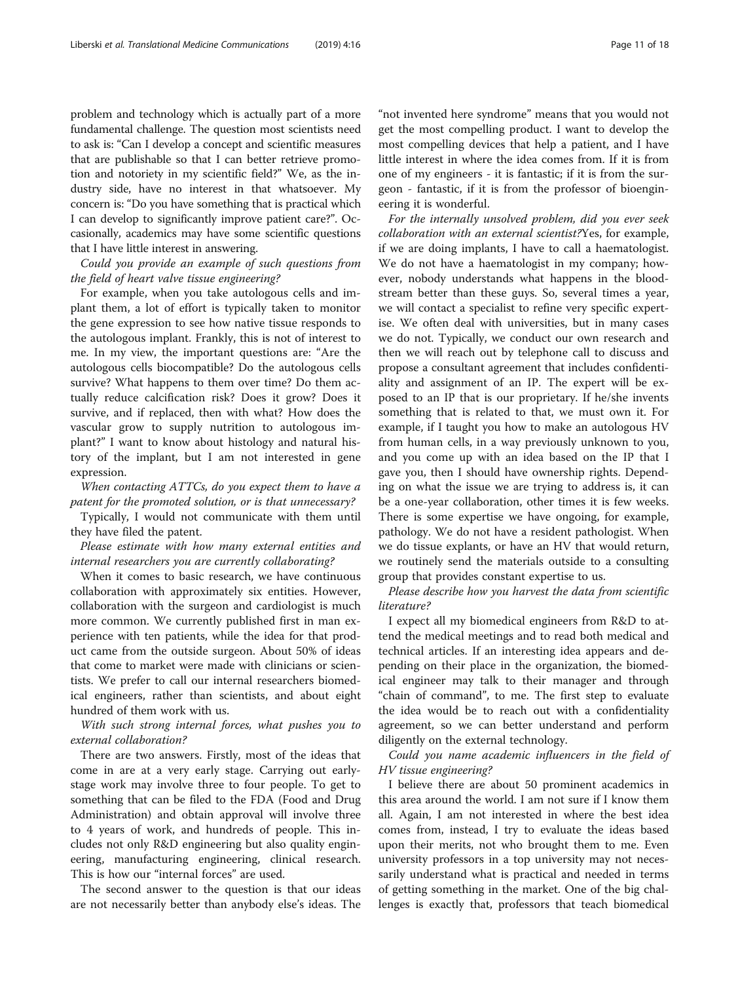problem and technology which is actually part of a more fundamental challenge. The question most scientists need to ask is: "Can I develop a concept and scientific measures that are publishable so that I can better retrieve promotion and notoriety in my scientific field?" We, as the industry side, have no interest in that whatsoever. My concern is: "Do you have something that is practical which I can develop to significantly improve patient care?". Occasionally, academics may have some scientific questions that I have little interest in answering.

# Could you provide an example of such questions from the field of heart valve tissue engineering?

For example, when you take autologous cells and implant them, a lot of effort is typically taken to monitor the gene expression to see how native tissue responds to the autologous implant. Frankly, this is not of interest to me. In my view, the important questions are: "Are the autologous cells biocompatible? Do the autologous cells survive? What happens to them over time? Do them actually reduce calcification risk? Does it grow? Does it survive, and if replaced, then with what? How does the vascular grow to supply nutrition to autologous implant?" I want to know about histology and natural history of the implant, but I am not interested in gene expression.

# When contacting ATTCs, do you expect them to have a patent for the promoted solution, or is that unnecessary?

Typically, I would not communicate with them until they have filed the patent.

#### Please estimate with how many external entities and internal researchers you are currently collaborating?

When it comes to basic research, we have continuous collaboration with approximately six entities. However, collaboration with the surgeon and cardiologist is much more common. We currently published first in man experience with ten patients, while the idea for that product came from the outside surgeon. About 50% of ideas that come to market were made with clinicians or scientists. We prefer to call our internal researchers biomedical engineers, rather than scientists, and about eight hundred of them work with us.

With such strong internal forces, what pushes you to external collaboration?

There are two answers. Firstly, most of the ideas that come in are at a very early stage. Carrying out earlystage work may involve three to four people. To get to something that can be filed to the FDA (Food and Drug Administration) and obtain approval will involve three to 4 years of work, and hundreds of people. This includes not only R&D engineering but also quality engineering, manufacturing engineering, clinical research. This is how our "internal forces" are used.

The second answer to the question is that our ideas are not necessarily better than anybody else's ideas. The

"not invented here syndrome" means that you would not get the most compelling product. I want to develop the most compelling devices that help a patient, and I have little interest in where the idea comes from. If it is from one of my engineers - it is fantastic; if it is from the surgeon - fantastic, if it is from the professor of bioengineering it is wonderful.

For the internally unsolved problem, did you ever seek collaboration with an external scientist?Yes, for example, if we are doing implants, I have to call a haematologist. We do not have a haematologist in my company; however, nobody understands what happens in the bloodstream better than these guys. So, several times a year, we will contact a specialist to refine very specific expertise. We often deal with universities, but in many cases we do not. Typically, we conduct our own research and then we will reach out by telephone call to discuss and propose a consultant agreement that includes confidentiality and assignment of an IP. The expert will be exposed to an IP that is our proprietary. If he/she invents something that is related to that, we must own it. For example, if I taught you how to make an autologous HV from human cells, in a way previously unknown to you, and you come up with an idea based on the IP that I gave you, then I should have ownership rights. Depending on what the issue we are trying to address is, it can be a one-year collaboration, other times it is few weeks. There is some expertise we have ongoing, for example, pathology. We do not have a resident pathologist. When we do tissue explants, or have an HV that would return, we routinely send the materials outside to a consulting group that provides constant expertise to us.

#### Please describe how you harvest the data from scientific literature?

I expect all my biomedical engineers from R&D to attend the medical meetings and to read both medical and technical articles. If an interesting idea appears and depending on their place in the organization, the biomedical engineer may talk to their manager and through "chain of command", to me. The first step to evaluate the idea would be to reach out with a confidentiality agreement, so we can better understand and perform diligently on the external technology.

# Could you name academic influencers in the field of HV tissue engineering?

I believe there are about 50 prominent academics in this area around the world. I am not sure if I know them all. Again, I am not interested in where the best idea comes from, instead, I try to evaluate the ideas based upon their merits, not who brought them to me. Even university professors in a top university may not necessarily understand what is practical and needed in terms of getting something in the market. One of the big challenges is exactly that, professors that teach biomedical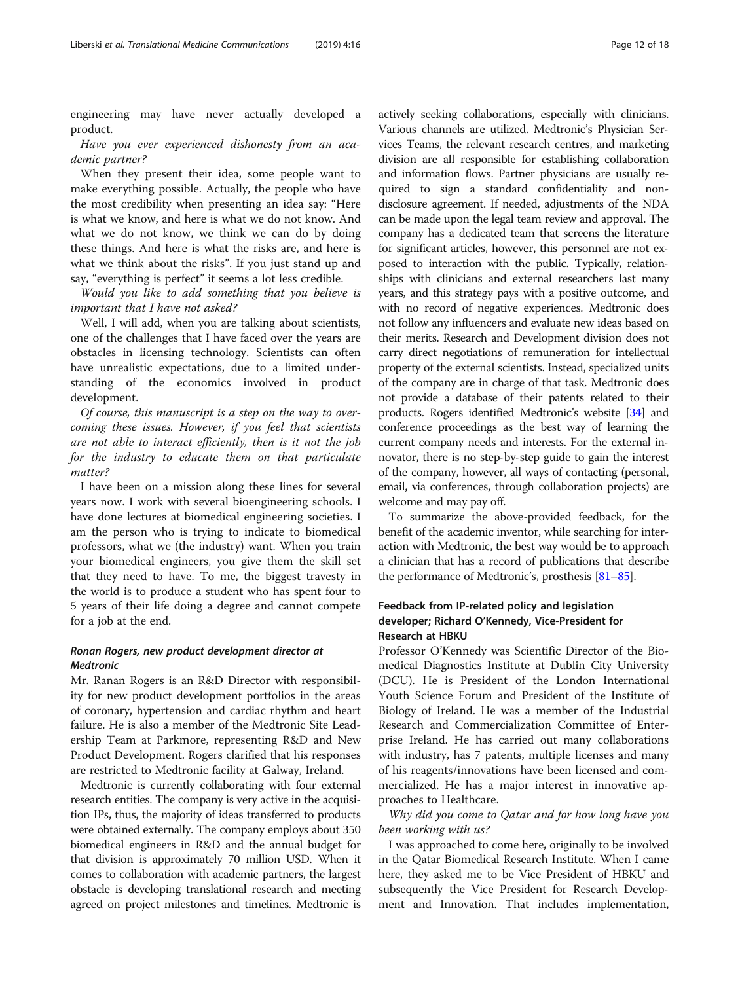engineering may have never actually developed a product.

#### Have you ever experienced dishonesty from an academic partner?

When they present their idea, some people want to make everything possible. Actually, the people who have the most credibility when presenting an idea say: "Here is what we know, and here is what we do not know. And what we do not know, we think we can do by doing these things. And here is what the risks are, and here is what we think about the risks". If you just stand up and say, "everything is perfect" it seems a lot less credible.

Would you like to add something that you believe is important that I have not asked?

Well, I will add, when you are talking about scientists, one of the challenges that I have faced over the years are obstacles in licensing technology. Scientists can often have unrealistic expectations, due to a limited understanding of the economics involved in product development.

Of course, this manuscript is a step on the way to overcoming these issues. However, if you feel that scientists are not able to interact efficiently, then is it not the job for the industry to educate them on that particulate matter?

I have been on a mission along these lines for several years now. I work with several bioengineering schools. I have done lectures at biomedical engineering societies. I am the person who is trying to indicate to biomedical professors, what we (the industry) want. When you train your biomedical engineers, you give them the skill set that they need to have. To me, the biggest travesty in the world is to produce a student who has spent four to 5 years of their life doing a degree and cannot compete for a job at the end.

#### Ronan Rogers, new product development director at Medtronic

Mr. Ranan Rogers is an R&D Director with responsibility for new product development portfolios in the areas of coronary, hypertension and cardiac rhythm and heart failure. He is also a member of the Medtronic Site Leadership Team at Parkmore, representing R&D and New Product Development. Rogers clarified that his responses are restricted to Medtronic facility at Galway, Ireland.

Medtronic is currently collaborating with four external research entities. The company is very active in the acquisition IPs, thus, the majority of ideas transferred to products were obtained externally. The company employs about 350 biomedical engineers in R&D and the annual budget for that division is approximately 70 million USD. When it comes to collaboration with academic partners, the largest obstacle is developing translational research and meeting agreed on project milestones and timelines. Medtronic is actively seeking collaborations, especially with clinicians. Various channels are utilized. Medtronic's Physician Services Teams, the relevant research centres, and marketing division are all responsible for establishing collaboration and information flows. Partner physicians are usually required to sign a standard confidentiality and nondisclosure agreement. If needed, adjustments of the NDA can be made upon the legal team review and approval. The company has a dedicated team that screens the literature for significant articles, however, this personnel are not exposed to interaction with the public. Typically, relationships with clinicians and external researchers last many years, and this strategy pays with a positive outcome, and with no record of negative experiences. Medtronic does not follow any influencers and evaluate new ideas based on their merits. Research and Development division does not carry direct negotiations of remuneration for intellectual property of the external scientists. Instead, specialized units of the company are in charge of that task. Medtronic does not provide a database of their patents related to their products. Rogers identified Medtronic's website [[34](#page-16-0)] and conference proceedings as the best way of learning the current company needs and interests. For the external innovator, there is no step-by-step guide to gain the interest of the company, however, all ways of contacting (personal, email, via conferences, through collaboration projects) are welcome and may pay off.

To summarize the above-provided feedback, for the benefit of the academic inventor, while searching for interaction with Medtronic, the best way would be to approach a clinician that has a record of publications that describe the performance of Medtronic's, prosthesis [\[81](#page-17-0)–[85](#page-17-0)].

# Feedback from IP-related policy and legislation developer; Richard O'Kennedy, Vice-President for Research at HBKU

Professor O'Kennedy was Scientific Director of the Biomedical Diagnostics Institute at Dublin City University (DCU). He is President of the London International Youth Science Forum and President of the Institute of Biology of Ireland. He was a member of the Industrial Research and Commercialization Committee of Enterprise Ireland. He has carried out many collaborations with industry, has 7 patents, multiple licenses and many of his reagents/innovations have been licensed and commercialized. He has a major interest in innovative approaches to Healthcare.

# Why did you come to Qatar and for how long have you been working with us?

I was approached to come here, originally to be involved in the Qatar Biomedical Research Institute. When I came here, they asked me to be Vice President of HBKU and subsequently the Vice President for Research Development and Innovation. That includes implementation,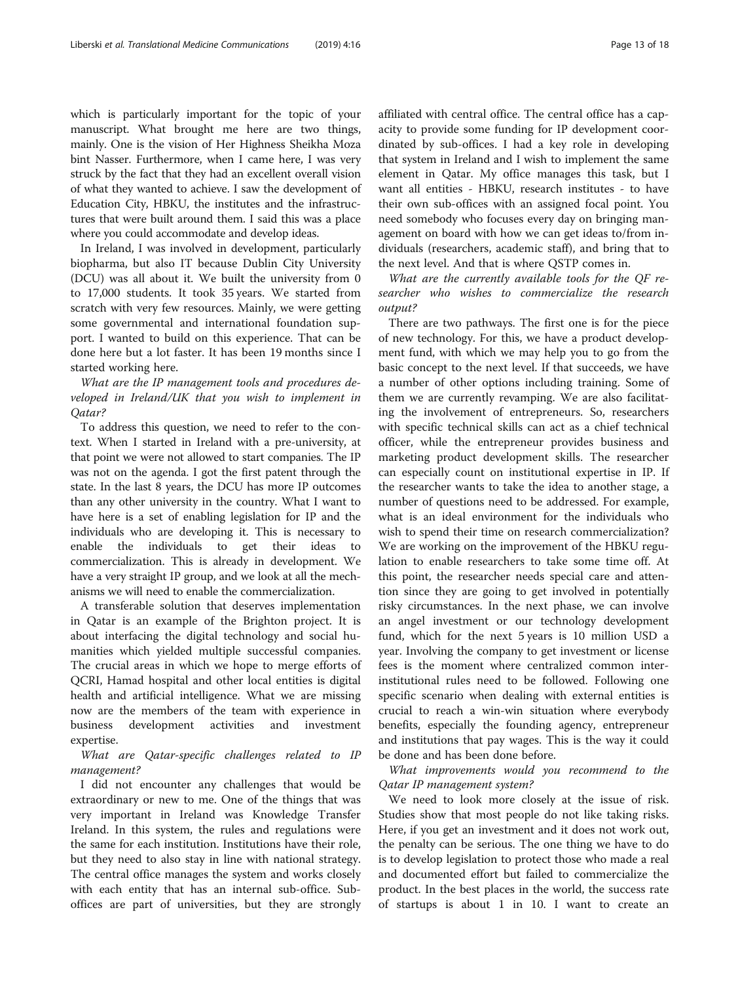which is particularly important for the topic of your manuscript. What brought me here are two things, mainly. One is the vision of Her Highness Sheikha Moza bint Nasser. Furthermore, when I came here, I was very struck by the fact that they had an excellent overall vision of what they wanted to achieve. I saw the development of Education City, HBKU, the institutes and the infrastructures that were built around them. I said this was a place where you could accommodate and develop ideas.

In Ireland, I was involved in development, particularly biopharma, but also IT because Dublin City University (DCU) was all about it. We built the university from 0 to 17,000 students. It took 35 years. We started from scratch with very few resources. Mainly, we were getting some governmental and international foundation support. I wanted to build on this experience. That can be done here but a lot faster. It has been 19 months since I started working here.

What are the IP management tools and procedures developed in Ireland/UK that you wish to implement in Qatar?

To address this question, we need to refer to the context. When I started in Ireland with a pre-university, at that point we were not allowed to start companies. The IP was not on the agenda. I got the first patent through the state. In the last 8 years, the DCU has more IP outcomes than any other university in the country. What I want to have here is a set of enabling legislation for IP and the individuals who are developing it. This is necessary to enable the individuals to get their ideas to commercialization. This is already in development. We have a very straight IP group, and we look at all the mechanisms we will need to enable the commercialization.

A transferable solution that deserves implementation in Qatar is an example of the Brighton project. It is about interfacing the digital technology and social humanities which yielded multiple successful companies. The crucial areas in which we hope to merge efforts of QCRI, Hamad hospital and other local entities is digital health and artificial intelligence. What we are missing now are the members of the team with experience in business development activities and investment expertise.

# What are Qatar-specific challenges related to IP management?

I did not encounter any challenges that would be extraordinary or new to me. One of the things that was very important in Ireland was Knowledge Transfer Ireland. In this system, the rules and regulations were the same for each institution. Institutions have their role, but they need to also stay in line with national strategy. The central office manages the system and works closely with each entity that has an internal sub-office. Suboffices are part of universities, but they are strongly affiliated with central office. The central office has a capacity to provide some funding for IP development coordinated by sub-offices. I had a key role in developing that system in Ireland and I wish to implement the same element in Qatar. My office manages this task, but I want all entities - HBKU, research institutes - to have their own sub-offices with an assigned focal point. You need somebody who focuses every day on bringing management on board with how we can get ideas to/from individuals (researchers, academic staff), and bring that to the next level. And that is where QSTP comes in.

What are the currently available tools for the QF researcher who wishes to commercialize the research output?

There are two pathways. The first one is for the piece of new technology. For this, we have a product development fund, with which we may help you to go from the basic concept to the next level. If that succeeds, we have a number of other options including training. Some of them we are currently revamping. We are also facilitating the involvement of entrepreneurs. So, researchers with specific technical skills can act as a chief technical officer, while the entrepreneur provides business and marketing product development skills. The researcher can especially count on institutional expertise in IP. If the researcher wants to take the idea to another stage, a number of questions need to be addressed. For example, what is an ideal environment for the individuals who wish to spend their time on research commercialization? We are working on the improvement of the HBKU regulation to enable researchers to take some time off. At this point, the researcher needs special care and attention since they are going to get involved in potentially risky circumstances. In the next phase, we can involve an angel investment or our technology development fund, which for the next 5 years is 10 million USD a year. Involving the company to get investment or license fees is the moment where centralized common interinstitutional rules need to be followed. Following one specific scenario when dealing with external entities is crucial to reach a win-win situation where everybody benefits, especially the founding agency, entrepreneur and institutions that pay wages. This is the way it could be done and has been done before.

What improvements would you recommend to the Qatar IP management system?

We need to look more closely at the issue of risk. Studies show that most people do not like taking risks. Here, if you get an investment and it does not work out, the penalty can be serious. The one thing we have to do is to develop legislation to protect those who made a real and documented effort but failed to commercialize the product. In the best places in the world, the success rate of startups is about 1 in 10. I want to create an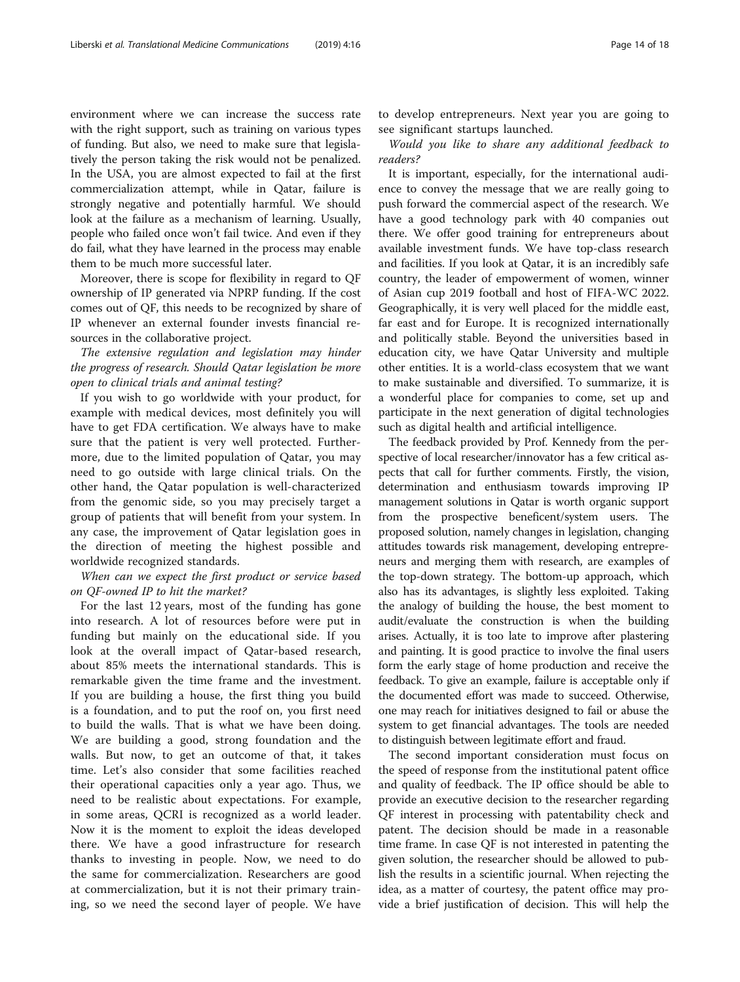environment where we can increase the success rate with the right support, such as training on various types of funding. But also, we need to make sure that legislatively the person taking the risk would not be penalized. In the USA, you are almost expected to fail at the first commercialization attempt, while in Qatar, failure is strongly negative and potentially harmful. We should look at the failure as a mechanism of learning. Usually, people who failed once won't fail twice. And even if they do fail, what they have learned in the process may enable them to be much more successful later.

Moreover, there is scope for flexibility in regard to QF ownership of IP generated via NPRP funding. If the cost comes out of QF, this needs to be recognized by share of IP whenever an external founder invests financial resources in the collaborative project.

# The extensive regulation and legislation may hinder the progress of research. Should Qatar legislation be more open to clinical trials and animal testing?

If you wish to go worldwide with your product, for example with medical devices, most definitely you will have to get FDA certification. We always have to make sure that the patient is very well protected. Furthermore, due to the limited population of Qatar, you may need to go outside with large clinical trials. On the other hand, the Qatar population is well-characterized from the genomic side, so you may precisely target a group of patients that will benefit from your system. In any case, the improvement of Qatar legislation goes in the direction of meeting the highest possible and worldwide recognized standards.

When can we expect the first product or service based on QF-owned IP to hit the market?

For the last 12 years, most of the funding has gone into research. A lot of resources before were put in funding but mainly on the educational side. If you look at the overall impact of Qatar-based research, about 85% meets the international standards. This is remarkable given the time frame and the investment. If you are building a house, the first thing you build is a foundation, and to put the roof on, you first need to build the walls. That is what we have been doing. We are building a good, strong foundation and the walls. But now, to get an outcome of that, it takes time. Let's also consider that some facilities reached their operational capacities only a year ago. Thus, we need to be realistic about expectations. For example, in some areas, QCRI is recognized as a world leader. Now it is the moment to exploit the ideas developed there. We have a good infrastructure for research thanks to investing in people. Now, we need to do the same for commercialization. Researchers are good at commercialization, but it is not their primary training, so we need the second layer of people. We have to develop entrepreneurs. Next year you are going to see significant startups launched.

Would you like to share any additional feedback to readers?

It is important, especially, for the international audience to convey the message that we are really going to push forward the commercial aspect of the research. We have a good technology park with 40 companies out there. We offer good training for entrepreneurs about available investment funds. We have top-class research and facilities. If you look at Qatar, it is an incredibly safe country, the leader of empowerment of women, winner of Asian cup 2019 football and host of FIFA-WC 2022. Geographically, it is very well placed for the middle east, far east and for Europe. It is recognized internationally and politically stable. Beyond the universities based in education city, we have Qatar University and multiple other entities. It is a world-class ecosystem that we want to make sustainable and diversified. To summarize, it is a wonderful place for companies to come, set up and participate in the next generation of digital technologies such as digital health and artificial intelligence.

The feedback provided by Prof. Kennedy from the perspective of local researcher/innovator has a few critical aspects that call for further comments. Firstly, the vision, determination and enthusiasm towards improving IP management solutions in Qatar is worth organic support from the prospective beneficent/system users. The proposed solution, namely changes in legislation, changing attitudes towards risk management, developing entrepreneurs and merging them with research, are examples of the top-down strategy. The bottom-up approach, which also has its advantages, is slightly less exploited. Taking the analogy of building the house, the best moment to audit/evaluate the construction is when the building arises. Actually, it is too late to improve after plastering and painting. It is good practice to involve the final users form the early stage of home production and receive the feedback. To give an example, failure is acceptable only if the documented effort was made to succeed. Otherwise, one may reach for initiatives designed to fail or abuse the system to get financial advantages. The tools are needed to distinguish between legitimate effort and fraud.

The second important consideration must focus on the speed of response from the institutional patent office and quality of feedback. The IP office should be able to provide an executive decision to the researcher regarding QF interest in processing with patentability check and patent. The decision should be made in a reasonable time frame. In case QF is not interested in patenting the given solution, the researcher should be allowed to publish the results in a scientific journal. When rejecting the idea, as a matter of courtesy, the patent office may provide a brief justification of decision. This will help the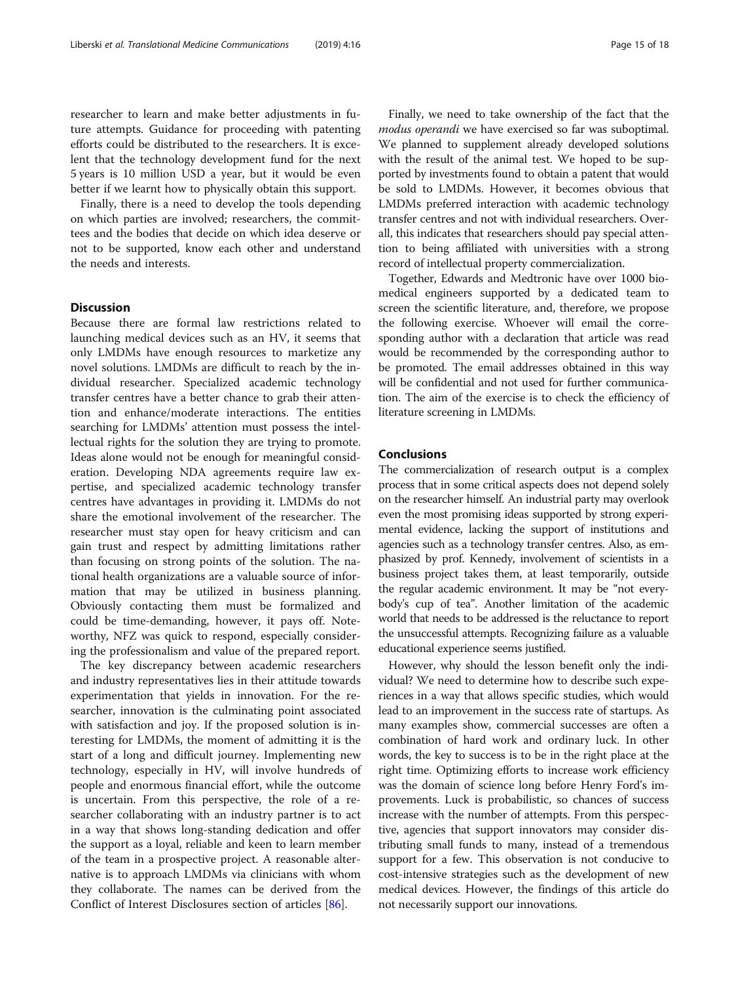researcher to learn and make better adjustments in future attempts. Guidance for proceeding with patenting efforts could be distributed to the researchers. It is excelent that the technology development fund for the next 5 years is 10 million USD a year, but it would be even better if we learnt how to physically obtain this support.

Finally, there is a need to develop the tools depending on which parties are involved; researchers, the committees and the bodies that decide on which idea deserve or not to be supported, know each other and understand the needs and interests.

#### Discussion

Because there are formal law restrictions related to launching medical devices such as an HV, it seems that only LMDMs have enough resources to marketize any novel solutions. LMDMs are difficult to reach by the individual researcher. Specialized academic technology transfer centres have a better chance to grab their attention and enhance/moderate interactions. The entities searching for LMDMs' attention must possess the intellectual rights for the solution they are trying to promote. Ideas alone would not be enough for meaningful consideration. Developing NDA agreements require law expertise, and specialized academic technology transfer centres have advantages in providing it. LMDMs do not share the emotional involvement of the researcher. The researcher must stay open for heavy criticism and can gain trust and respect by admitting limitations rather than focusing on strong points of the solution. The national health organizations are a valuable source of information that may be utilized in business planning. Obviously contacting them must be formalized and could be time-demanding, however, it pays off. Noteworthy, NFZ was quick to respond, especially considering the professionalism and value of the prepared report.

The key discrepancy between academic researchers and industry representatives lies in their attitude towards experimentation that yields in innovation. For the researcher, innovation is the culminating point associated with satisfaction and joy. If the proposed solution is interesting for LMDMs, the moment of admitting it is the start of a long and difficult journey. Implementing new technology, especially in HV, will involve hundreds of people and enormous financial effort, while the outcome is uncertain. From this perspective, the role of a researcher collaborating with an industry partner is to act in a way that shows long-standing dedication and offer the support as a loyal, reliable and keen to learn member of the team in a prospective project. A reasonable alternative is to approach LMDMs via clinicians with whom they collaborate. The names can be derived from the Conflict of Interest Disclosures section of articles [[86\]](#page-17-0).

Finally, we need to take ownership of the fact that the modus operandi we have exercised so far was suboptimal. We planned to supplement already developed solutions with the result of the animal test. We hoped to be supported by investments found to obtain a patent that would be sold to LMDMs. However, it becomes obvious that LMDMs preferred interaction with academic technology transfer centres and not with individual researchers. Overall, this indicates that researchers should pay special attention to being affiliated with universities with a strong record of intellectual property commercialization.

Together, Edwards and Medtronic have over 1000 biomedical engineers supported by a dedicated team to screen the scientific literature, and, therefore, we propose the following exercise. Whoever will email the corresponding author with a declaration that article was read would be recommended by the corresponding author to be promoted. The email addresses obtained in this way will be confidential and not used for further communication. The aim of the exercise is to check the efficiency of literature screening in LMDMs.

#### Conclusions

The commercialization of research output is a complex process that in some critical aspects does not depend solely on the researcher himself. An industrial party may overlook even the most promising ideas supported by strong experimental evidence, lacking the support of institutions and agencies such as a technology transfer centres. Also, as emphasized by prof. Kennedy, involvement of scientists in a business project takes them, at least temporarily, outside the regular academic environment. It may be "not everybody's cup of tea". Another limitation of the academic world that needs to be addressed is the reluctance to report the unsuccessful attempts. Recognizing failure as a valuable educational experience seems justified.

However, why should the lesson benefit only the individual? We need to determine how to describe such experiences in a way that allows specific studies, which would lead to an improvement in the success rate of startups. As many examples show, commercial successes are often a combination of hard work and ordinary luck. In other words, the key to success is to be in the right place at the right time. Optimizing efforts to increase work efficiency was the domain of science long before Henry Ford's improvements. Luck is probabilistic, so chances of success increase with the number of attempts. From this perspective, agencies that support innovators may consider distributing small funds to many, instead of a tremendous support for a few. This observation is not conducive to cost-intensive strategies such as the development of new medical devices. However, the findings of this article do not necessarily support our innovations.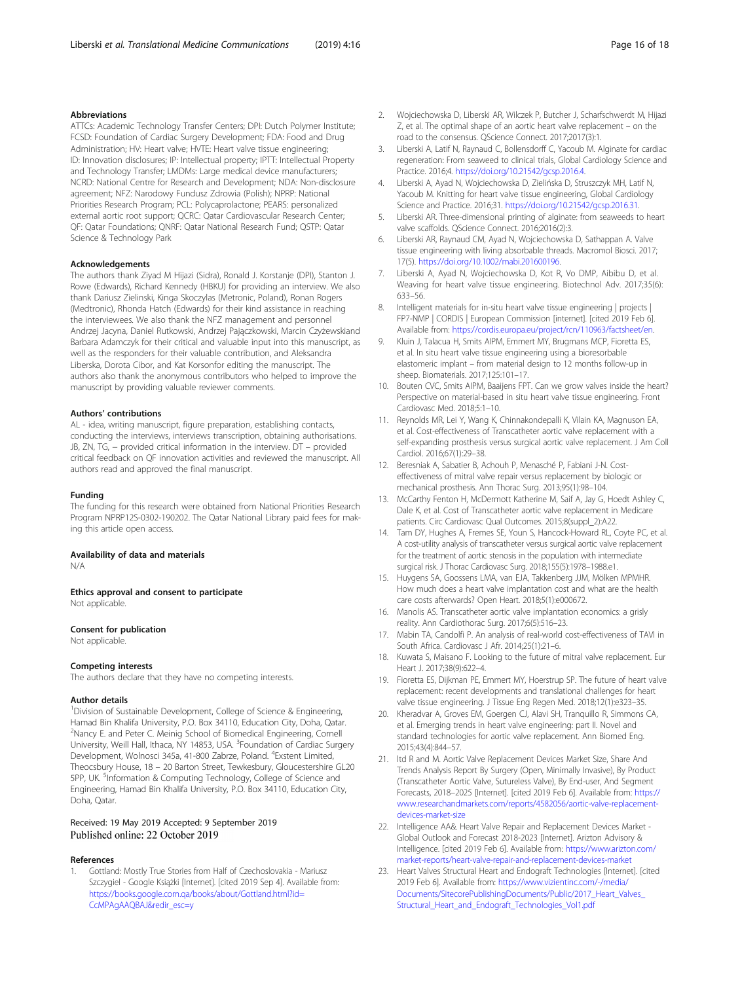#### <span id="page-15-0"></span>Abbreviations

ATTCs: Academic Technology Transfer Centers; DPI: Dutch Polymer Institute; FCSD: Foundation of Cardiac Surgery Development; FDA: Food and Drug Administration; HV: Heart valve; HVTE: Heart valve tissue engineering; ID: Innovation disclosures; IP: Intellectual property; IPTT: Intellectual Property and Technology Transfer; LMDMs: Large medical device manufacturers; NCRD: National Centre for Research and Development; NDA: Non-disclosure agreement; NFZ: Narodowy Fundusz Zdrowia (Polish); NPRP: National Priorities Research Program; PCL: Polycaprolactone; PEARS: personalized external aortic root support; QCRC: Qatar Cardiovascular Research Center; QF: Qatar Foundations; QNRF: Qatar National Research Fund; QSTP: Qatar Science & Technology Park

#### Acknowledgements

The authors thank Ziyad M Hijazi (Sidra), Ronald J. Korstanje (DPI), Stanton J. Rowe (Edwards), Richard Kennedy (HBKU) for providing an interview. We also thank Dariusz Zielinski, Kinga Skoczylas (Metronic, Poland), Ronan Rogers (Medtronic), Rhonda Hatch (Edwards) for their kind assistance in reaching the interviewees. We also thank the NFZ management and personnel Andrzej Jacyna, Daniel Rutkowski, Andrzej Pajączkowski, Marcin Czyżewskiand Barbara Adamczyk for their critical and valuable input into this manuscript, as well as the responders for their valuable contribution, and Aleksandra Liberska, Dorota Cibor, and Kat Korsonfor editing the manuscript. The authors also thank the anonymous contributors who helped to improve the manuscript by providing valuable reviewer comments.

#### Authors' contributions

AL - idea, writing manuscript, figure preparation, establishing contacts, conducting the interviews, interviews transcription, obtaining authorisations. JB, ZN, TG, − provided critical information in the interview. DT – provided critical feedback on QF innovation activities and reviewed the manuscript. All authors read and approved the final manuscript.

#### Funding

The funding for this research were obtained from National Priorities Research Program NPRP12S-0302-190202. The Qatar National Library paid fees for making this article open access.

#### Availability of data and materials

N/A

Ethics approval and consent to participate

Not applicable.

#### Consent for publication

Not applicable.

#### Competing interests

The authors declare that they have no competing interests.

#### Author details

<sup>1</sup>Division of Sustainable Development, College of Science & Engineering, Hamad Bin Khalifa University, P.O. Box 34110, Education City, Doha, Qatar. <sup>2</sup>Nancy E. and Peter C. Meinig School of Biomedical Engineering, Cornell University, Weill Hall, Ithaca, NY 14853, USA. <sup>3</sup> Foundation of Cardiac Surgery Development, Wolnosci 345a, 41-800 Zabrze, Poland. <sup>4</sup>Exstent Limited, Theocsbury House, 18 – 20 Barton Street, Tewkesbury, Gloucestershire GL20 5PP, UK. <sup>5</sup>Information & Computing Technology, College of Science and Engineering, Hamad Bin Khalifa University, P.O. Box 34110, Education City, Doha, Qatar.

#### Received: 19 May 2019 Accepted: 9 September 2019 Published online: 22 October 2019

#### References

1. Gottland: Mostly True Stories from Half of Czechoslovakia - Mariusz Szczygiel - Google Książki [Internet]. [cited 2019 Sep 4]. Available from: [https://books.google.com.qa/books/about/Gottland.html?id=](https://books.google.com.qa/books/about/Gottland.html?id=CcMPAgAAQBAJ&redir_esc=y) [CcMPAgAAQBAJ&redir\\_esc=y](https://books.google.com.qa/books/about/Gottland.html?id=CcMPAgAAQBAJ&redir_esc=y)

- 2. Wojciechowska D, Liberski AR, Wilczek P, Butcher J, Scharfschwerdt M, Hijazi Z, et al. The optimal shape of an aortic heart valve replacement – on the road to the consensus. QScience Connect. 2017;2017(3):1.
- 3. Liberski A, Latif N, Raynaud C, Bollensdorff C, Yacoub M. Alginate for cardiac regeneration: From seaweed to clinical trials, Global Cardiology Science and Practice. 2016;4. <https://doi.org/10.21542/gcsp.2016.4>.
- 4. Liberski A, Ayad N, Wojciechowska D, Zielińska D, Struszczyk MH, Latif N, Yacoub M. Knitting for heart valve tissue engineering, Global Cardiology Science and Practice. 2016;31. [https://doi.org/10.21542/gcsp.2016.31.](https://doi.org/10.21542/gcsp.2016.31)
- 5. Liberski AR. Three-dimensional printing of alginate: from seaweeds to heart valve scaffolds. QScience Connect. 2016;2016(2):3.
- 6. Liberski AR, Raynaud CM, Ayad N, Wojciechowska D, Sathappan A. Valve tissue engineering with living absorbable threads. Macromol Biosci. 2017; 17(5). <https://doi.org/10.1002/mabi.201600196>.
- 7. Liberski A, Ayad N, Wojciechowska D, Kot R, Vo DMP, Aibibu D, et al. Weaving for heart valve tissue engineering. Biotechnol Adv. 2017;35(6): 633–56.
- Intelligent materials for in-situ heart valve tissue engineering | projects | FP7-NMP | CORDIS | European Commission [internet]. [cited 2019 Feb 6]. Available from: [https://cordis.europa.eu/project/rcn/110963/factsheet/en.](https://cordis.europa.eu/project/rcn/110963/factsheet/en)
- 9. Kluin J, Talacua H, Smits AIPM, Emmert MY, Brugmans MCP, Fioretta ES, et al. In situ heart valve tissue engineering using a bioresorbable elastomeric implant – from material design to 12 months follow-up in sheep. Biomaterials. 2017;125:101–17.
- 10. Bouten CVC, Smits AIPM, Baaijens FPT. Can we grow valves inside the heart? Perspective on material-based in situ heart valve tissue engineering. Front Cardiovasc Med. 2018;5:1–10.
- 11. Reynolds MR, Lei Y, Wang K, Chinnakondepalli K, Vilain KA, Magnuson EA, et al. Cost-effectiveness of Transcatheter aortic valve replacement with a self-expanding prosthesis versus surgical aortic valve replacement. J Am Coll Cardiol. 2016;67(1):29–38.
- 12. Beresniak A, Sabatier B, Achouh P, Menasché P, Fabiani J-N. Costeffectiveness of mitral valve repair versus replacement by biologic or mechanical prosthesis. Ann Thorac Surg. 2013;95(1):98–104.
- 13. McCarthy Fenton H, McDermott Katherine M, Saif A, Jay G, Hoedt Ashley C, Dale K, et al. Cost of Transcatheter aortic valve replacement in Medicare patients. Circ Cardiovasc Qual Outcomes. 2015;8(suppl\_2):A22.
- 14. Tam DY, Hughes A, Fremes SE, Youn S, Hancock-Howard RL, Coyte PC, et al. A cost-utility analysis of transcatheter versus surgical aortic valve replacement for the treatment of aortic stenosis in the population with intermediate surgical risk. J Thorac Cardiovasc Surg. 2018;155(5):1978–1988.e1.
- 15. Huygens SA, Goossens LMA, van EJA, Takkenberg JJM, Mölken MPMHR. How much does a heart valve implantation cost and what are the health care costs afterwards? Open Heart. 2018;5(1):e000672.
- 16. Manolis AS. Transcatheter aortic valve implantation economics: a grisly reality. Ann Cardiothorac Surg. 2017;6(5):516–23.
- 17. Mabin TA, Candolfi P. An analysis of real-world cost-effectiveness of TAVI in South Africa. Cardiovasc J Afr. 2014;25(1):21–6.
- 18. Kuwata S, Maisano F. Looking to the future of mitral valve replacement. Eur Heart J. 2017;38(9):622–4.
- 19. Fioretta ES, Dijkman PE, Emmert MY, Hoerstrup SP. The future of heart valve replacement: recent developments and translational challenges for heart valve tissue engineering. J Tissue Eng Regen Med. 2018;12(1):e323–35.
- 20. Kheradvar A, Groves EM, Goergen CJ, Alavi SH, Tranquillo R, Simmons CA, et al. Emerging trends in heart valve engineering: part II. Novel and standard technologies for aortic valve replacement. Ann Biomed Eng. 2015;43(4):844–57.
- 21. ltd R and M. Aortic Valve Replacement Devices Market Size, Share And Trends Analysis Report By Surgery (Open, Minimally Invasive), By Product (Transcatheter Aortic Valve, Sutureless Valve), By End-user, And Segment Forecasts, 2018–2025 [Internet]. [cited 2019 Feb 6]. Available from: [https://](https://www.researchandmarkets.com/reports/4582056/aortic-valve-replacement-devices-market-size) [www.researchandmarkets.com/reports/4582056/aortic-valve-replacement](https://www.researchandmarkets.com/reports/4582056/aortic-valve-replacement-devices-market-size)[devices-market-size](https://www.researchandmarkets.com/reports/4582056/aortic-valve-replacement-devices-market-size)
- 22. Intelligence AA&. Heart Valve Repair and Replacement Devices Market Global Outlook and Forecast 2018-2023 [Internet]. Arizton Advisory & Intelligence. [cited 2019 Feb 6]. Available from: [https://www.arizton.com/](https://www.arizton.com/market-reports/heart-valve-repair-and-replacement-devices-market) [market-reports/heart-valve-repair-and-replacement-devices-market](https://www.arizton.com/market-reports/heart-valve-repair-and-replacement-devices-market)
- 23. Heart Valves Structural Heart and Endograft Technologies [Internet]. [cited 2019 Feb 6]. Available from: [https://www.vizientinc.com/-/media/](https://www.vizientinc.com/-/media/Documents/SitecorePublishingDocuments/Public/2017_Heart_Valves_Structural_Heart_and_Endograft_Technologies_Vol1.pdf) [Documents/SitecorePublishingDocuments/Public/2017\\_Heart\\_Valves\\_](https://www.vizientinc.com/-/media/Documents/SitecorePublishingDocuments/Public/2017_Heart_Valves_Structural_Heart_and_Endograft_Technologies_Vol1.pdf) [Structural\\_Heart\\_and\\_Endograft\\_Technologies\\_Vol1.pdf](https://www.vizientinc.com/-/media/Documents/SitecorePublishingDocuments/Public/2017_Heart_Valves_Structural_Heart_and_Endograft_Technologies_Vol1.pdf)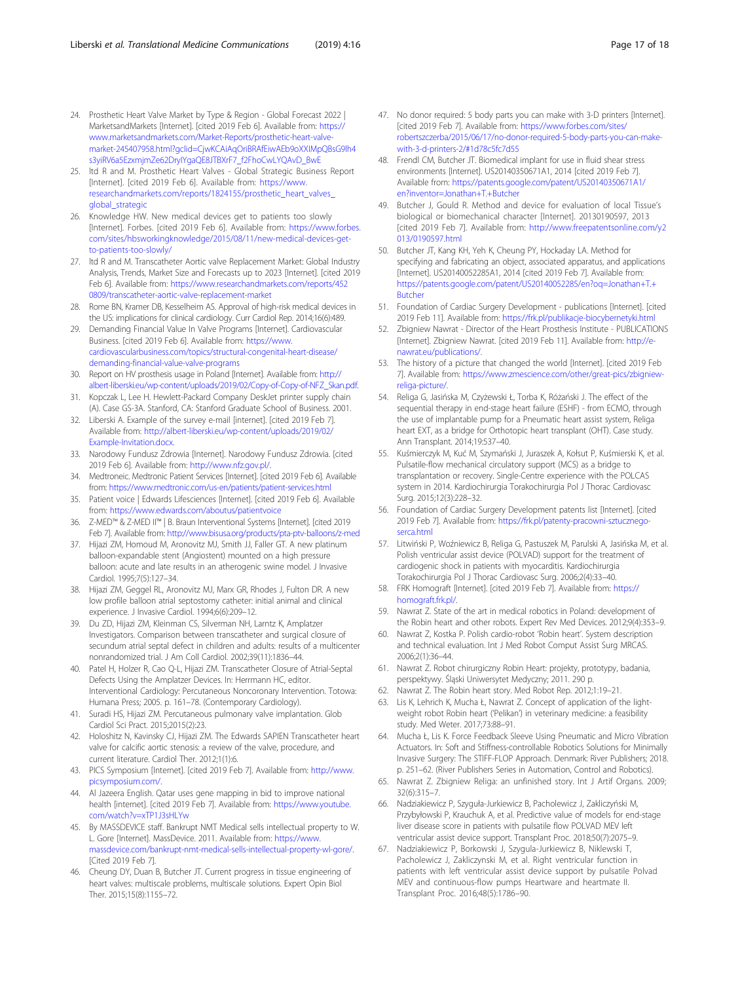- <span id="page-16-0"></span>24. Prosthetic Heart Valve Market by Type & Region - Global Forecast 2022 | MarketsandMarkets [Internet]. [cited 2019 Feb 6]. Available from: [https://](https://www.marketsandmarkets.com/Market-Reports/prosthetic-heart-valve-market-245407958.html?gclid=CjwKCAiAqOriBRAfEiwAEb9oXXIMpQBsG9lh4s3yiRV6a5EzxmjmZe62DryIYgaQE8JTBXrF7_f2FhoCwLYQAvD_BwE) [www.marketsandmarkets.com/Market-Reports/prosthetic-heart-valve](https://www.marketsandmarkets.com/Market-Reports/prosthetic-heart-valve-market-245407958.html?gclid=CjwKCAiAqOriBRAfEiwAEb9oXXIMpQBsG9lh4s3yiRV6a5EzxmjmZe62DryIYgaQE8JTBXrF7_f2FhoCwLYQAvD_BwE)[market-245407958.html?gclid=CjwKCAiAqOriBRAfEiwAEb9oXXIMpQBsG9lh4](https://www.marketsandmarkets.com/Market-Reports/prosthetic-heart-valve-market-245407958.html?gclid=CjwKCAiAqOriBRAfEiwAEb9oXXIMpQBsG9lh4s3yiRV6a5EzxmjmZe62DryIYgaQE8JTBXrF7_f2FhoCwLYQAvD_BwE) [s3yiRV6a5EzxmjmZe62DryIYgaQE8JTBXrF7\\_f2FhoCwLYQAvD\\_BwE](https://www.marketsandmarkets.com/Market-Reports/prosthetic-heart-valve-market-245407958.html?gclid=CjwKCAiAqOriBRAfEiwAEb9oXXIMpQBsG9lh4s3yiRV6a5EzxmjmZe62DryIYgaQE8JTBXrF7_f2FhoCwLYQAvD_BwE)
- 25. ltd R and M. Prosthetic Heart Valves Global Strategic Business Report [Internet]. [cited 2019 Feb 6]. Available from: [https://www.](https://www.researchandmarkets.com/reports/1824155/prosthetic_heart_valves_global_strategic) [researchandmarkets.com/reports/1824155/prosthetic\\_heart\\_valves\\_](https://www.researchandmarkets.com/reports/1824155/prosthetic_heart_valves_global_strategic) [global\\_strategic](https://www.researchandmarkets.com/reports/1824155/prosthetic_heart_valves_global_strategic)
- 26. Knowledge HW. New medical devices get to patients too slowly [Internet]. Forbes. [cited 2019 Feb 6]. Available from: [https://www.forbes.](https://www.forbes.com/sites/hbsworkingknowledge/2015/08/11/new-medical-devices-get-to-patients-too-slowly/) [com/sites/hbsworkingknowledge/2015/08/11/new-medical-devices-get](https://www.forbes.com/sites/hbsworkingknowledge/2015/08/11/new-medical-devices-get-to-patients-too-slowly/)[to-patients-too-slowly/](https://www.forbes.com/sites/hbsworkingknowledge/2015/08/11/new-medical-devices-get-to-patients-too-slowly/)
- 27. ltd R and M. Transcatheter Aortic valve Replacement Market: Global Industry Analysis, Trends, Market Size and Forecasts up to 2023 [Internet]. [cited 2019 Feb 6]. Available from: [https://www.researchandmarkets.com/reports/452](https://www.researchandmarkets.com/reports/4520809/transcatheter-aortic-valve-replacement-market) [0809/transcatheter-aortic-valve-replacement-market](https://www.researchandmarkets.com/reports/4520809/transcatheter-aortic-valve-replacement-market)
- 28. Rome BN, Kramer DB, Kesselheim AS. Approval of high-risk medical devices in the US: implications for clinical cardiology. Curr Cardiol Rep. 2014;16(6):489.
- 29. Demanding Financial Value In Valve Programs [Internet]. Cardiovascular Business. [cited 2019 Feb 6]. Available from: [https://www.](https://www.cardiovascularbusiness.com/topics/structural-congenital-heart-disease/demanding-financial-value-valve-programs) [cardiovascularbusiness.com/topics/structural-congenital-heart-disease/](https://www.cardiovascularbusiness.com/topics/structural-congenital-heart-disease/demanding-financial-value-valve-programs) [demanding-financial-value-valve-programs](https://www.cardiovascularbusiness.com/topics/structural-congenital-heart-disease/demanding-financial-value-valve-programs)
- 30. Report on HV prosthesis usage in Poland [Internet]. Available from: [http://](http://albert-liberski.eu/wp-content/uploads/2019/02/Copy-of-Copy-of-NFZ_Skan.pdf) [albert-liberski.eu/wp-content/uploads/2019/02/Copy-of-Copy-of-NFZ\\_Skan.pdf.](http://albert-liberski.eu/wp-content/uploads/2019/02/Copy-of-Copy-of-NFZ_Skan.pdf)
- 31. Kopczak L, Lee H. Hewlett-Packard Company DeskJet printer supply chain (A). Case GS-3A. Stanford, CA: Stanford Graduate School of Business. 2001.
- 32. Liberski A. Example of the survey e-mail [internet]. [cited 2019 Feb 7]. Available from: [http://albert-liberski.eu/wp-content/uploads/2019/02/](http://albert-liberski.eu/wp-content/uploads/2019/02/Example-Invitation.docx) [Example-Invitation.docx](http://albert-liberski.eu/wp-content/uploads/2019/02/Example-Invitation.docx).
- 33. Narodowy Fundusz Zdrowia [Internet]. Narodowy Fundusz Zdrowia. [cited 2019 Feb 6]. Available from: <http://www.nfz.gov.pl/>.
- 34. Medtroneic. Medtronic Patient Services [Internet]. [cited 2019 Feb 6]. Available from: <https://www.medtronic.com/us-en/patients/patient-services.html>
- 35. Patient voice | Edwards Lifesciences [Internet]. [cited 2019 Feb 6]. Available from: <https://www.edwards.com/aboutus/patientvoice>
- 36. Z-MED™ & Z-MED II™ | B. Braun Interventional Systems [Internet]. [cited 2019 Feb 7]. Available from: <http://www.bisusa.org/products/pta-ptv-balloons/z-med>
- 37. Hijazi ZM, Homoud M, Aronovitz MJ, Smith JJ, Faller GT. A new platinum balloon-expandable stent (Angiostent) mounted on a high pressure balloon: acute and late results in an atherogenic swine model. J Invasive Cardiol. 1995;7(5):127–34.
- 38. Hijazi ZM, Geggel RL, Aronovitz MJ, Marx GR, Rhodes J, Fulton DR. A new low profile balloon atrial septostomy catheter: initial animal and clinical experience. J Invasive Cardiol. 1994;6(6):209–12.
- 39. Du ZD, Hijazi ZM, Kleinman CS, Silverman NH, Larntz K, Amplatzer Investigators. Comparison between transcatheter and surgical closure of secundum atrial septal defect in children and adults: results of a multicenter nonrandomized trial. J Am Coll Cardiol. 2002;39(11):1836–44.
- 40. Patel H, Holzer R, Cao Q-L, Hijazi ZM. Transcatheter Closure of Atrial-Septal Defects Using the Amplatzer Devices. In: Herrmann HC, editor. Interventional Cardiology: Percutaneous Noncoronary Intervention. Totowa: Humana Press; 2005. p. 161–78. (Contemporary Cardiology).
- 41. Suradi HS, Hijazi ZM. Percutaneous pulmonary valve implantation. Glob Cardiol Sci Pract. 2015;2015(2):23.
- 42. Holoshitz N, Kavinsky CJ, Hijazi ZM. The Edwards SAPIEN Transcatheter heart valve for calcific aortic stenosis: a review of the valve, procedure, and current literature. Cardiol Ther. 2012;1(1):6.
- 43. PICS Symposium [Internet]. [cited 2019 Feb 7]. Available from: [http://www.](http://www.picsymposium.com/) [picsymposium.com/](http://www.picsymposium.com/).
- 44. Al Jazeera English. Qatar uses gene mapping in bid to improve national health [internet]. [cited 2019 Feb 7]. Available from: [https://www.youtube.](https://www.youtube.com/watch?v=xTP1J3sHLYw) [com/watch?v=xTP1J3sHLYw](https://www.youtube.com/watch?v=xTP1J3sHLYw)
- 45. By MASSDEVICE staff. Bankrupt NMT Medical sells intellectual property to W. L. Gore [Internet]. MassDevice. 2011. Available from: [https://www.](https://www.massdevice.com/bankrupt-nmt-medical-sells-intellectual-property-wl-gore/) [massdevice.com/bankrupt-nmt-medical-sells-intellectual-property-wl-gore/.](https://www.massdevice.com/bankrupt-nmt-medical-sells-intellectual-property-wl-gore/) [Cited 2019 Feb 7].
- 46. Cheung DY, Duan B, Butcher JT. Current progress in tissue engineering of heart valves: multiscale problems, multiscale solutions. Expert Opin Biol Ther. 2015;15(8):1155–72.
- 47. No donor required: 5 body parts you can make with 3-D printers [Internet]. [cited 2019 Feb 7]. Available from: [https://www.forbes.com/sites/](https://www.forbes.com/sites/robertszczerba/2015/06/17/no-donor-required-5-body-parts-you-can-make-with-3-d-printers-2/#1d78c5fc7d55) [robertszczerba/2015/06/17/no-donor-required-5-body-parts-you-can-make](https://www.forbes.com/sites/robertszczerba/2015/06/17/no-donor-required-5-body-parts-you-can-make-with-3-d-printers-2/#1d78c5fc7d55)[with-3-d-printers-2/#1d78c5fc7d55](https://www.forbes.com/sites/robertszczerba/2015/06/17/no-donor-required-5-body-parts-you-can-make-with-3-d-printers-2/#1d78c5fc7d55)
- 48. Frendl CM, Butcher JT. Biomedical implant for use in fluid shear stress environments [Internet]. US20140350671A1, 2014 [cited 2019 Feb 7]. Available from: [https://patents.google.com/patent/US20140350671A1/](https://patents.google.com/patent/US20140350671A1/en?inventor=Jonathan+T.+Butcher) en?inventor=Jonathan+T+Butcher
- 49. Butcher J, Gould R. Method and device for evaluation of local Tissue's biological or biomechanical character [Internet]. 20130190597, 2013 [cited 2019 Feb 7]. Available from: [http://www.freepatentsonline.com/y2](http://www.freepatentsonline.com/y2013/0190597.html) [013/0190597.html](http://www.freepatentsonline.com/y2013/0190597.html)
- 50. Butcher JT, Kang KH, Yeh K, Cheung PY, Hockaday LA. Method for specifying and fabricating an object, associated apparatus, and applications [Internet]. US20140052285A1, 2014 [cited 2019 Feb 7]. Available from: [https://patents.google.com/patent/US20140052285/en?oq=Jonathan+T.+](https://patents.google.com/patent/US20140052285/en?oq=Jonathan+T.+Butcher) [Butcher](https://patents.google.com/patent/US20140052285/en?oq=Jonathan+T.+Butcher)
- 51. Foundation of Cardiac Surgery Development publications [Internet]. [cited 2019 Feb 11]. Available from: <https://frk.pl/publikacje-biocybernetyki.html>
- 52. Zbigniew Nawrat Director of the Heart Prosthesis Institute PUBLICATIONS [Internet]. Zbigniew Nawrat. [cited 2019 Feb 11]. Available from: [http://e](http://e-nawrat.eu/publications/)[nawrat.eu/publications/.](http://e-nawrat.eu/publications/)
- 53. The history of a picture that changed the world [Internet]. [cited 2019 Feb 7]. Available from: [https://www.zmescience.com/other/great-pics/zbigniew](https://www.zmescience.com/other/great-pics/zbigniew-religa-picture/)religa-picture/
- 54. Religa G, Jasińska M, Czyżewski Ł, Torba K, Różański J. The effect of the sequential therapy in end-stage heart failure (ESHF) - from ECMO, through the use of implantable pump for a Pneumatic heart assist system, Religa heart EXT, as a bridge for Orthotopic heart transplant (OHT). Case study. Ann Transplant. 2014;19:537–40.
- 55. Kuśmierczyk M, Kuć M, Szymański J, Juraszek A, Kołsut P, Kuśmierski K, et al. Pulsatile-flow mechanical circulatory support (MCS) as a bridge to transplantation or recovery. Single-Centre experience with the POLCAS system in 2014. Kardiochirurgia Torakochirurgia Pol J Thorac Cardiovasc Surg. 2015;12(3):228–32.
- 56. Foundation of Cardiac Surgery Development patents list [Internet]. [cited 2019 Feb 7]. Available from: [https://frk.pl/patenty-pracowni-sztucznego](https://frk.pl/patenty-pracowni-sztucznego-serca.html)[serca.html](https://frk.pl/patenty-pracowni-sztucznego-serca.html)
- 57. Litwiński P, Woźniewicz B, Religa G, Pastuszek M, Parulski A, Jasińska M, et al. Polish ventricular assist device (POLVAD) support for the treatment of cardiogenic shock in patients with myocarditis. Kardiochirurgia Torakochirurgia Pol J Thorac Cardiovasc Surg. 2006;2(4):33–40.
- 58. FRK Homograft [Internet]. [cited 2019 Feb 7]. Available from: [https://](https://homograft.frk.pl/) [homograft.frk.pl/](https://homograft.frk.pl/).
- 59. Nawrat Z. State of the art in medical robotics in Poland: development of the Robin heart and other robots. Expert Rev Med Devices. 2012;9(4):353–9.
- 60. Nawrat Z, Kostka P. Polish cardio-robot 'Robin heart'. System description and technical evaluation. Int J Med Robot Comput Assist Surg MRCAS. 2006;2(1):36–44.
- 61. Nawrat Z. Robot chirurgiczny Robin Heart: projekty, prototypy, badania, perspektywy. Śląski Uniwersytet Medyczny; 2011. 290 p.
- 62. Nawrat Z. The Robin heart story. Med Robot Rep. 2012;1:19–21.
- 63. Lis K, Lehrich K, Mucha Ł, Nawrat Z. Concept of application of the lightweight robot Robin heart ('Pelikan') in veterinary medicine: a feasibility study. Med Weter. 2017;73:88–91.
- 64. Mucha Ł, Lis K. Force Feedback Sleeve Using Pneumatic and Micro Vibration Actuators. In: Soft and Stiffness-controllable Robotics Solutions for Minimally Invasive Surgery: The STIFF-FLOP Approach. Denmark: River Publishers; 2018. p. 251–62. (River Publishers Series in Automation, Control and Robotics).
- 65. Nawrat Z. Zbigniew Religa: an unfinished story. Int J Artif Organs. 2009; 32(6):315–7.
- 66. Nadziakiewicz P, Szyguła-Jurkiewicz B, Pacholewicz J, Zakliczyński M, Przybyłowski P, Krauchuk A, et al. Predictive value of models for end-stage liver disease score in patients with pulsatile flow POLVAD MEV left ventricular assist device support. Transplant Proc. 2018;50(7):2075–9.
- 67. Nadziakiewicz P, Borkowski J, Szygula-Jurkiewicz B, Niklewski T, Pacholewicz J, Zakliczynski M, et al. Right ventricular function in patients with left ventricular assist device support by pulsatile Polvad MEV and continuous-flow pumps Heartware and heartmate II. Transplant Proc. 2016;48(5):1786–90.